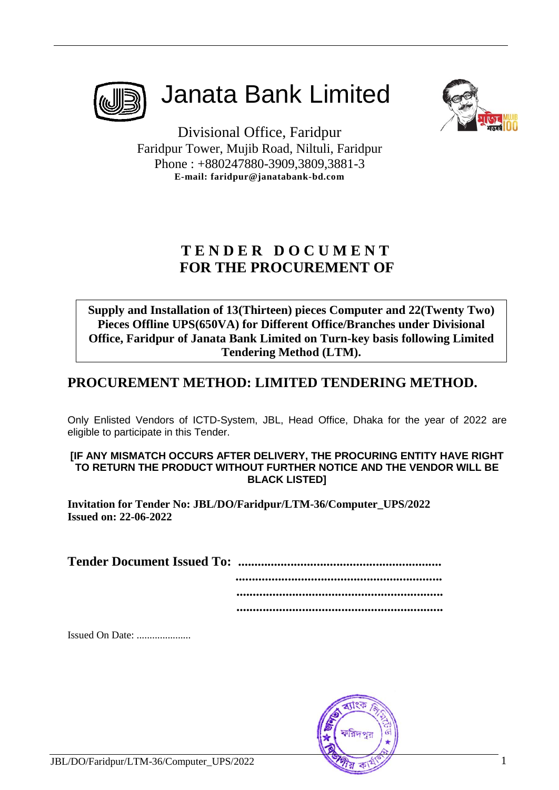

Janata Bank Limited



Divisional Office, Faridpur Faridpur Tower, Mujib Road, Niltuli, Faridpur Phone : +880247880-3909,3809,3881-3 **E-mail: faridpur@janatabank-bd.com**

## **T E N D E R D O C U M E N T FOR THE PROCUREMENT OF**

**Supply and Installation of 13(Thirteen) pieces Computer and 22(Twenty Two) Pieces Offline UPS(650VA) for Different Office/Branches under Divisional Office, Faridpur of Janata Bank Limited on Turn-key basis following Limited Tendering Method (LTM).**

## **PROCUREMENT METHOD: LIMITED TENDERING METHOD.**

Only Enlisted Vendors of ICTD-System, JBL, Head Office, Dhaka for the year of 2022 are eligible to participate in this Tender.

#### **[IF ANY MISMATCH OCCURS AFTER DELIVERY, THE PROCURING ENTITY HAVE RIGHT TO RETURN THE PRODUCT WITHOUT FURTHER NOTICE AND THE VENDOR WILL BE BLACK LISTED]**

**Invitation for Tender No: JBL/DO/Faridpur/LTM-36/Computer\_UPS/2022 Issued on: 22-06-2022**

**Tender Document Issued To: ..............................................................**

 **...............................................................**

**............................................................... ...............................................................**

Issued On Date: .....................

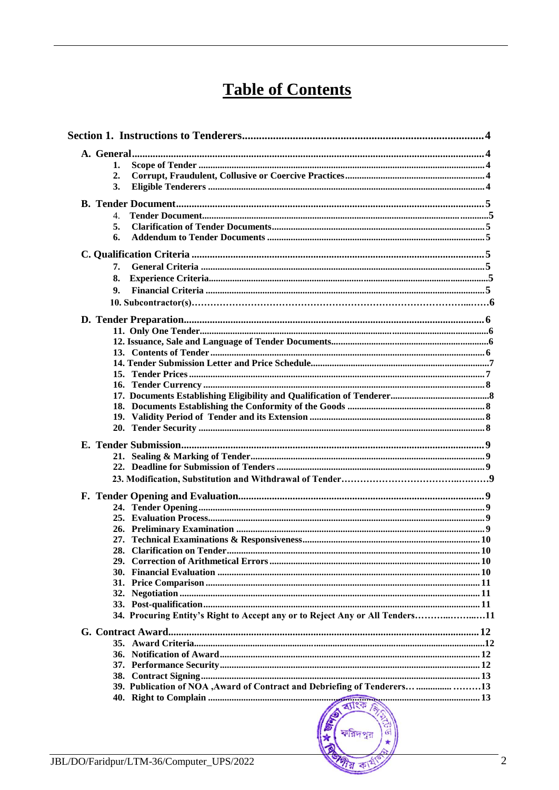# **Table of Contents**

| 1. |                                                                              |  |
|----|------------------------------------------------------------------------------|--|
| 2. |                                                                              |  |
| 3. |                                                                              |  |
|    |                                                                              |  |
| 4. |                                                                              |  |
| 5. |                                                                              |  |
| 6. |                                                                              |  |
|    |                                                                              |  |
| 7. |                                                                              |  |
| 8. |                                                                              |  |
| 9. |                                                                              |  |
|    |                                                                              |  |
|    |                                                                              |  |
|    |                                                                              |  |
|    |                                                                              |  |
|    |                                                                              |  |
|    |                                                                              |  |
|    |                                                                              |  |
|    |                                                                              |  |
|    |                                                                              |  |
|    |                                                                              |  |
|    |                                                                              |  |
|    |                                                                              |  |
|    |                                                                              |  |
|    |                                                                              |  |
|    |                                                                              |  |
|    |                                                                              |  |
|    |                                                                              |  |
|    |                                                                              |  |
|    |                                                                              |  |
|    |                                                                              |  |
|    |                                                                              |  |
|    |                                                                              |  |
|    |                                                                              |  |
|    |                                                                              |  |
|    |                                                                              |  |
|    |                                                                              |  |
|    |                                                                              |  |
|    | 34. Procuring Entity's Right to Accept any or to Reject Any or All Tenders11 |  |
|    |                                                                              |  |
|    |                                                                              |  |
|    |                                                                              |  |
|    |                                                                              |  |
|    |                                                                              |  |
|    | 39. Publication of NOA, Award of Contract and Debriefing of Tenderers 13     |  |
|    |                                                                              |  |
|    |                                                                              |  |

করিদপুর

ার কা

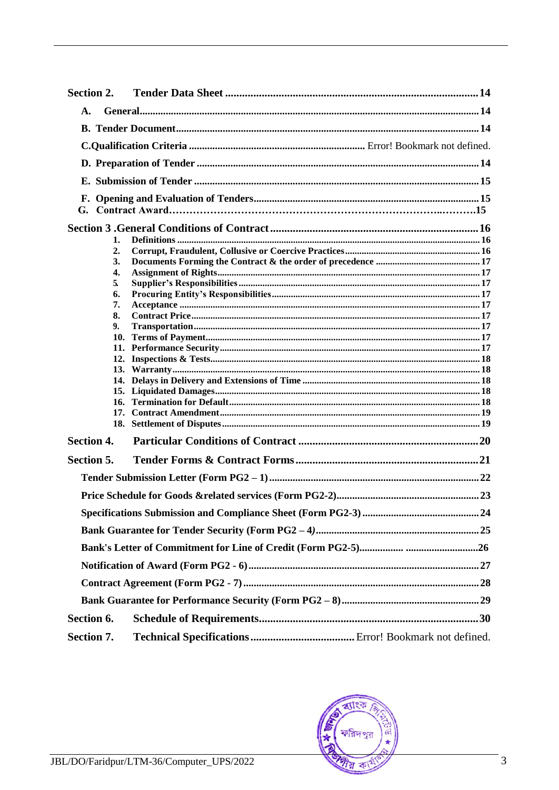| Section 2.        |          |  |  |  |
|-------------------|----------|--|--|--|
| A.                |          |  |  |  |
|                   |          |  |  |  |
|                   |          |  |  |  |
|                   |          |  |  |  |
|                   |          |  |  |  |
|                   |          |  |  |  |
| G.                |          |  |  |  |
|                   |          |  |  |  |
|                   | 1.       |  |  |  |
|                   | 2.       |  |  |  |
|                   | 3.       |  |  |  |
|                   | 4.<br>5. |  |  |  |
|                   | 6.       |  |  |  |
|                   | 7.       |  |  |  |
|                   | 8.       |  |  |  |
|                   | 9.       |  |  |  |
|                   | 10.      |  |  |  |
|                   |          |  |  |  |
|                   |          |  |  |  |
|                   |          |  |  |  |
|                   |          |  |  |  |
|                   |          |  |  |  |
|                   |          |  |  |  |
|                   |          |  |  |  |
| <b>Section 4.</b> |          |  |  |  |
| Section 5.        |          |  |  |  |
|                   |          |  |  |  |
|                   |          |  |  |  |
|                   |          |  |  |  |
|                   |          |  |  |  |
|                   |          |  |  |  |
|                   |          |  |  |  |
|                   |          |  |  |  |
|                   |          |  |  |  |
| Section 6.        |          |  |  |  |
| Section 7.        |          |  |  |  |

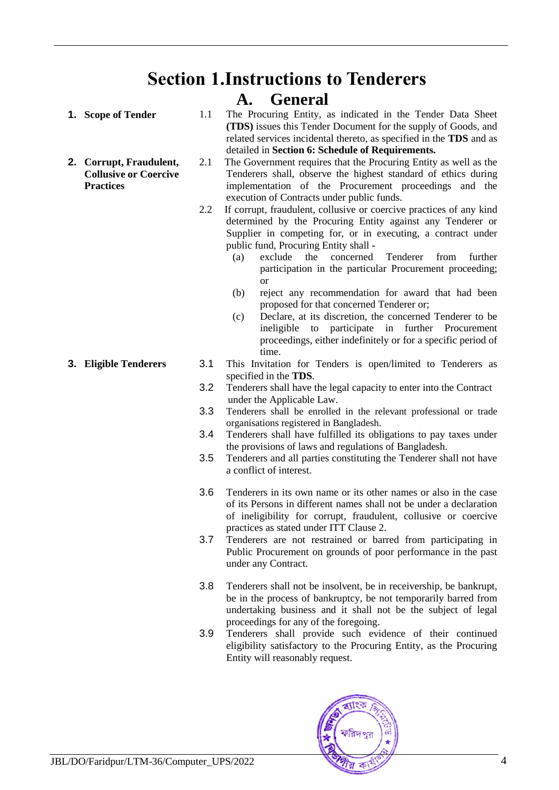# **Section 1.Instructions to Tenderers**

**A. General**

- <span id="page-3-2"></span>
- <span id="page-3-3"></span>**2. Corrupt, Fraudulent, Collusive or Coercive Practices**
- <span id="page-3-1"></span><span id="page-3-0"></span>**1. Scope of Tender** 1.1 The Procuring Entity, as indicated in the Tender Data Sheet **(TDS)** issues this Tender Document for the supply of Goods, and related services incidental thereto, as specified in the **TDS** and as detailed in **Section 6: Schedule of Requirements.**
	- 2.1 The Government requires that the Procuring Entity as well as the Tenderers shall, observe the highest standard of ethics during implementation of the Procurement proceedings and the execution of Contracts under public funds.
	- 2.2 If corrupt, fraudulent, collusive or coercive practices of any kind determined by the Procuring Entity against any Tenderer or Supplier in competing for, or in executing, a contract under public fund, Procuring Entity shall **-**
		- (a) exclude the concerned Tenderer from further participation in the particular Procurement proceeding; or
		- (b) reject any recommendation for award that had been proposed for that concerned Tenderer or;
		- (c) Declare, at its discretion, the concerned Tenderer to be ineligible to participate in further Procurement proceedings, either indefinitely or for a specific period of time.
- <span id="page-3-4"></span>**3. Eligible Tenderers** 3.1 This Invitation for Tenders is open/limited to Tenderers as specified in the **TDS**.
	- 3.2 Tenderers shall have the legal capacity to enter into the Contract under the Applicable Law.
	- 3.3 Tenderers shall be enrolled in the relevant professional or trade organisations registered in Bangladesh.
	- 3.4 Tenderers shall have fulfilled its obligations to pay taxes under the provisions of laws and regulations of Bangladesh.
	- 3.5 Tenderers and all parties constituting the Tenderer shall not have a conflict of interest.
	- 3.6 Tenderers in its own name or its other names or also in the case of its Persons in different names shall not be under a declaration of ineligibility for corrupt, fraudulent, collusive or coercive practices as stated under ITT Clause 2.
	- 3.7 Tenderers are not restrained or barred from participating in Public Procurement on grounds of poor performance in the past under any Contract.
	- 3.8 Tenderers shall not be insolvent, be in receivership, be bankrupt, be in the process of bankruptcy, be not temporarily barred from undertaking business and it shall not be the subject of legal proceedings for any of the foregoing.
	- 3.9 Tenderers shall provide such evidence of their continued eligibility satisfactory to the Procuring Entity, as the Procuring Entity will reasonably request.

<span id="page-3-5"></span>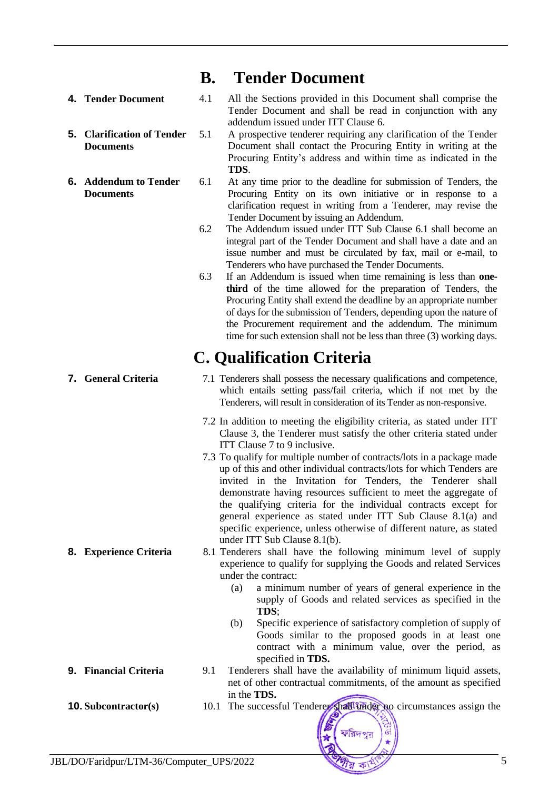## **B. Tender Document**

- 
- <span id="page-4-0"></span>**5. Clarification of Tender Documents**
- <span id="page-4-1"></span>**6. Addendum to Tender Documents**

<span id="page-4-2"></span>

- **4. Tender Document** 4.1 All the Sections provided in this Document shall comprise the Tender Document and shall be read in conjunction with any addendum issued under ITT Clause 6.
	- 5.1 A prospective tenderer requiring any clarification of the Tender Document shall contact the Procuring Entity in writing at the Procuring Entity's address and within time as indicated in the **TDS**.
	- 6.1 At any time prior to the deadline for submission of Tenders, the Procuring Entity on its own initiative or in response to a clarification request in writing from a Tenderer, may revise the Tender Document by issuing an Addendum.
	- 6.2 The Addendum issued under ITT Sub Clause 6.1 shall become an integral part of the Tender Document and shall have a date and an issue number and must be circulated by fax, mail or e-mail, to Tenderers who have purchased the Tender Documents.
	- 6.3 If an Addendum is issued when time remaining is less than **onethird** of the time allowed for the preparation of Tenders, the Procuring Entity shall extend the deadline by an appropriate number of days for the submission of Tenders, depending upon the nature of the Procurement requirement and the addendum. The minimum time for such extension shall not be less than three (3) working days.

# **C. Qualification Criteria**

- **7. General Criteria** 7.1 Tenderers shall possess the necessary qualifications and competence, which entails setting pass/fail criteria, which if not met by the Tenderers, will result in consideration of its Tender as non-responsive.
	- 7.2 In addition to meeting the eligibility criteria, as stated under ITT Clause 3, the Tenderer must satisfy the other criteria stated under ITT Clause 7 to 9 inclusive.
	- 7.3 To qualify for multiple number of contracts/lots in a package made up of this and other individual contracts/lots for which Tenders are invited in the Invitation for Tenders, the Tenderer shall demonstrate having resources sufficient to meet the aggregate of the qualifying criteria for the individual contracts except for general experience as stated under ITT Sub Clause 8.1(a) and specific experience, unless otherwise of different nature, as stated under ITT Sub Clause 8.1(b).
- **8. Experience Criteria** 8.1 Tenderers shall have the following minimum level of supply experience to qualify for supplying the Goods and related Services under the contract:
	- (a) a minimum number of years of general experience in the supply of Goods and related services as specified in the **TDS**;
	- (b) Specific experience of satisfactory completion of supply of Goods similar to the proposed goods in at least one contract with a minimum value, over the period, as specified in **TDS.**
- **9. Financial Criteria** 9.1 Tenderers shall have the availability of minimum liquid assets, net of other contractual commitments, of the amount as specified in the **TDS.**
- **10.** Subcontractor(s) 10.1 The successful Tenderer shall under no circumstances assign the



- 
-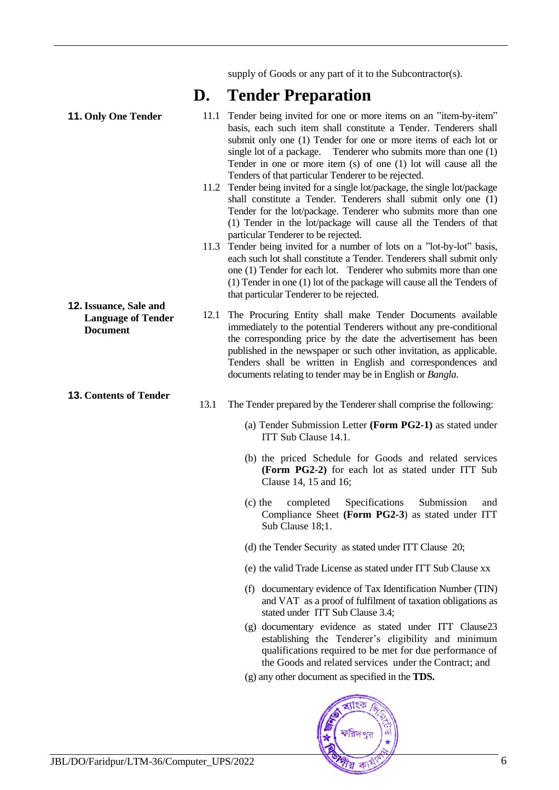supply of Goods or any part of it to the Subcontractor(s).

## **D. Tender Preparation**

<span id="page-5-0"></span>**11. Only One Tender** 11.1 Tender being invited for one or more items on an "item-by-item" basis, each such item shall constitute a Tender. Tenderers shall submit only one (1) Tender for one or more items of each lot or single lot of a package. Tenderer who submits more than one (1) Tender in one or more item (s) of one (1) lot will cause all the Tenders of that particular Tenderer to be rejected. 11.2 Tender being invited for a single lot/package, the single lot/package shall constitute a Tender. Tenderers shall submit only one (1) Tender for the lot/package. Tenderer who submits more than one (1) Tender in the lot/package will cause all the Tenders of that particular Tenderer to be rejected. 11.3 Tender being invited for a number of lots on a "lot-by-lot" basis, each such lot shall constitute a Tender. Tenderers shall submit only one (1) Tender for each lot. Tenderer who submits more than one (1) Tender in one (1) lot of the package will cause all the Tenders of that particular Tenderer to be rejected. **12. Issuance, Sale and Language of Tender Document** 12.1 The Procuring Entity shall make Tender Documents available immediately to the potential Tenderers without any pre-conditional the corresponding price by the date the advertisement has been published in the newspaper or such other invitation, as applicable.

#### <span id="page-5-1"></span>**13. Contents of Tender**

13.1 The Tender prepared by the Tenderer shall comprise the following:

documents relating to tender may be in English or *Bangla.*

Tenders shall be written in English and correspondences and

- (a) Tender Submission Letter **(Form PG2-1)** as stated under ITT Sub Clause 14.1.
- (b) the priced Schedule for Goods and related services **(Form PG2-2)** for each lot as stated under ITT Sub Clause 14, 15 and 16;
- (c) the completed Specifications Submission and Compliance Sheet **(Form PG2-3**) as stated under ITT Sub Clause 18;1.
- (d) the Tender Security as stated under ITT Clause 20;
- (e) the valid Trade License as stated under ITT Sub Clause xx
- (f) documentary evidence of Tax Identification Number (TIN) and VAT as a proof of fulfilment of taxation obligations as stated under ITT Sub Clause 3.4;
- (g) documentary evidence as stated under ITT Clause23 establishing the Tenderer's eligibility and minimum qualifications required to be met for due performance of the Goods and related services under the Contract; and
- (g) any other document as specified in the **TDS.**

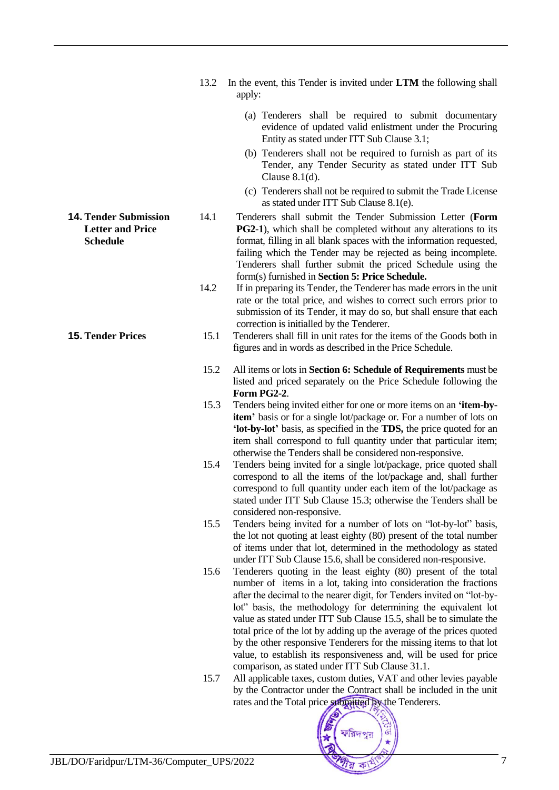- 13.2 In the event, this Tender is invited under **LTM** the following shall apply:
	- (a) Tenderers shall be required to submit documentary evidence of updated valid enlistment under the Procuring Entity as stated under ITT Sub Clause 3.1;
	- (b) Tenderers shall not be required to furnish as part of its Tender, any Tender Security as stated under ITT Sub Clause 8.1(d).
	- (c) Tenderers shall not be required to submit the Trade License as stated under ITT Sub Clause 8.1(e).
- 14.1 Tenderers shall submit the Tender Submission Letter (**Form PG2-1**), which shall be completed without any alterations to its format, filling in all blank spaces with the information requested, failing which the Tender may be rejected as being incomplete. Tenderers shall further submit the priced Schedule using the form(s) furnished in **Section 5: Price Schedule.**
- 14.2 If in preparing its Tender, the Tenderer has made errors in the unit rate or the total price, and wishes to correct such errors prior to submission of its Tender, it may do so, but shall ensure that each correction is initialled by the Tenderer.
- <span id="page-6-0"></span>**15. Tender Prices** 15.1 Tenderers shall fill in unit rates for the items of the Goods both in figures and in words as described in the Price Schedule.
	- 15.2 All items or lots in **Section 6: Schedule of Requirements** must be listed and priced separately on the Price Schedule following the **Form PG2-2**.
	- 15.3 Tenders being invited either for one or more items on an **'item-byitem'** basis or for a single lot/package or. For a number of lots on **'lot-by-lot'** basis, as specified in the **TDS,** the price quoted for an item shall correspond to full quantity under that particular item; otherwise the Tenders shall be considered non-responsive.
	- 15.4 Tenders being invited for a single lot/package, price quoted shall correspond to all the items of the lot/package and, shall further correspond to full quantity under each item of the lot/package as stated under ITT Sub Clause 15.3; otherwise the Tenders shall be considered non-responsive.
	- 15.5 Tenders being invited for a number of lots on "lot-by-lot" basis, the lot not quoting at least eighty (80) present of the total number of items under that lot, determined in the methodology as stated under ITT Sub Clause 15.6, shall be considered non-responsive.
	- 15.6 Tenderers quoting in the least eighty (80) present of the total number of items in a lot, taking into consideration the fractions after the decimal to the nearer digit, for Tenders invited on "lot-bylot" basis, the methodology for determining the equivalent lot value as stated under ITT Sub Clause 15.5, shall be to simulate the total price of the lot by adding up the average of the prices quoted by the other responsive Tenderers for the missing items to that lot value, to establish its responsiveness and, will be used for price comparison, as stated under ITT Sub Clause 31.1.
	- 15.7 All applicable taxes, custom duties, VAT and other levies payable by the Contractor under the Contract shall be included in the unit rates and the Total price submitted by the Tenderers.



**14. Tender Submission Letter and Price Schedule**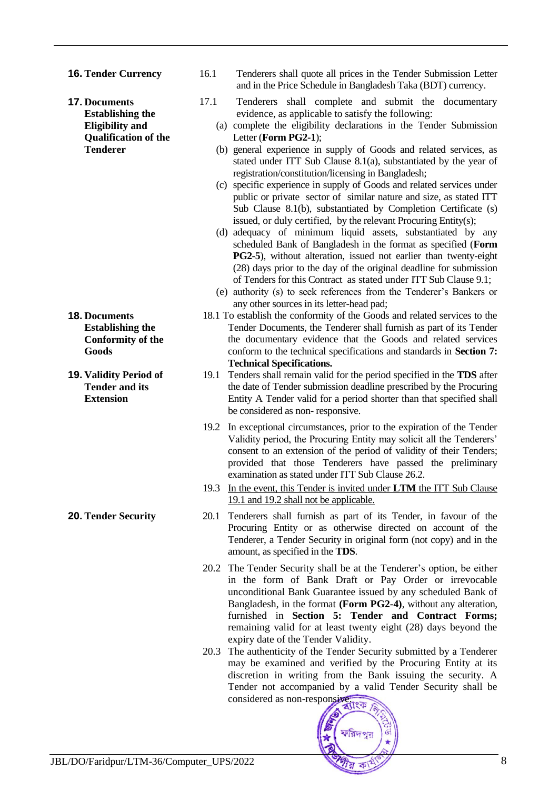**17. Documents Establishing the Eligibility and Qualification of the Tenderer**

- <span id="page-7-1"></span>**18. Documents Establishing the Conformity of the Goods**
- <span id="page-7-2"></span>**19. Validity Period of Tender and its Extension**

- <span id="page-7-0"></span>**16. Tender Currency** 16.1 Tenderers shall quote all prices in the Tender Submission Letter and in the Price Schedule in Bangladesh Taka (BDT) currency.
	- 17.1 Tenderers shall complete and submit the documentary evidence, as applicable to satisfy the following:
		- (a) complete the eligibility declarations in the Tender Submission Letter (**Form PG2-1**);
		- (b) general experience in supply of Goods and related services, as stated under ITT Sub Clause 8.1(a), substantiated by the year of registration/constitution/licensing in Bangladesh;
		- (c) specific experience in supply of Goods and related services under public or private sector of similar nature and size, as stated ITT Sub Clause 8.1(b), substantiated by Completion Certificate (s) issued, or duly certified, by the relevant Procuring Entity(s);
		- (d) adequacy of minimum liquid assets, substantiated by any scheduled Bank of Bangladesh in the format as specified (**Form PG2-5**), without alteration, issued not earlier than twenty-eight (28) days prior to the day of the original deadline for submission of Tenders for this Contract as stated under ITT Sub Clause 9.1;
		- (e) authority (s) to seek references from the Tenderer's Bankers or any other sources in its letter-head pad;
	- 18.1 To establish the conformity of the Goods and related services to the Tender Documents, the Tenderer shall furnish as part of its Tender the documentary evidence that the Goods and related services conform to the technical specifications and standards in **Section 7: Technical Specifications.**
	- 19.1 Tenders shall remain valid for the period specified in the **TDS** after the date of Tender submission deadline prescribed by the Procuring Entity A Tender valid for a period shorter than that specified shall be considered as non- responsive.
	- 19.2 In exceptional circumstances, prior to the expiration of the Tender Validity period, the Procuring Entity may solicit all the Tenderers' consent to an extension of the period of validity of their Tenders; provided that those Tenderers have passed the preliminary examination as stated under ITT Sub Clause 26.2.
	- 19.3 In the event, this Tender is invited under **LTM** the ITT Sub Clause 19.1 and 19.2 shall not be applicable.
- <span id="page-7-3"></span>**20. Tender Security** 20.1 Tenderers shall furnish as part of its Tender, in favour of the Procuring Entity or as otherwise directed on account of the Tenderer, a Tender Security in original form (not copy) and in the amount, as specified in the **TDS**.
	- 20.2 The Tender Security shall be at the Tenderer's option, be either in the form of Bank Draft or Pay Order or irrevocable unconditional Bank Guarantee issued by any scheduled Bank of Bangladesh, in the format **(Form PG2-4)**, without any alteration, furnished in **Section 5: Tender and Contract Forms;** remaining valid for at least twenty eight (28) days beyond the expiry date of the Tender Validity.
	- 20.3 The authenticity of the Tender Security submitted by a Tenderer may be examined and verified by the Procuring Entity at its discretion in writing from the Bank issuing the security. A Tender not accompanied by a valid Tender Security shall be considered as non-responsive.

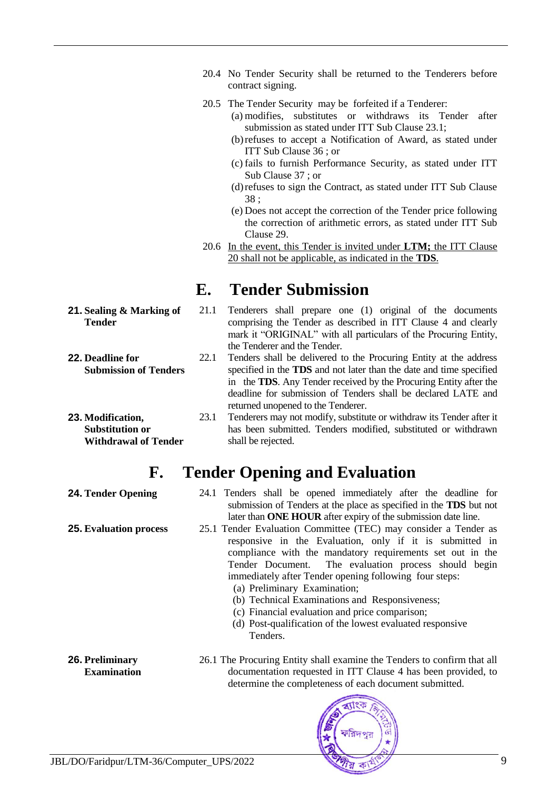- 20.4 No Tender Security shall be returned to the Tenderers before contract signing.
- 20.5 The Tender Security may be forfeited if a Tenderer:
	- (a) modifies, substitutes or withdraws its Tender after submission as stated under ITT Sub Clause 23.1;
	- (b)refuses to accept a Notification of Award, as stated under ITT Sub Clause 36 ; or
	- (c) fails to furnish Performance Security, as stated under ITT Sub Clause 37 ; or
	- (d)refuses to sign the Contract, as stated under ITT Sub Clause 38 ;
	- (e) Does not accept the correction of the Tender price following the correction of arithmetic errors, as stated under ITT Sub Clause 29.
- 20.6 In the event, this Tender is invited under **LTM;** the ITT Clause 20 shall not be applicable, as indicated in the **TDS**.

## **E. Tender Submission**

- <span id="page-8-1"></span><span id="page-8-0"></span>**21. Sealing & Marking of Tender** 21.1 Tenderers shall prepare one (1) original of the documents comprising the Tender as described in ITT Clause 4 and clearly mark it "ORIGINAL" with all particulars of the Procuring Entity, the Tenderer and the Tender.
- <span id="page-8-2"></span>**22. Deadline for Submission of Tenders** 22.1 Tenders shall be delivered to the Procuring Entity at the address specified in the **TDS** and not later than the date and time specified in the **TDS**. Any Tender received by the Procuring Entity after the deadline for submission of Tenders shall be declared LATE and returned unopened to the Tenderer.
- **23. Modification, Substitution or Withdrawal of Tender** 23.1 Tenderers may not modify, substitute or withdraw its Tender after it has been submitted. Tenders modified, substituted or withdrawn shall be rejected.

# **F. Tender Opening and Evaluation**

- 
- <span id="page-8-4"></span><span id="page-8-3"></span>**24. Tender Opening** 24.1 Tenders shall be opened immediately after the deadline for submission of Tenders at the place as specified in the **TDS** but not later than **ONE HOUR** after expiry of the submission date line.

<span id="page-8-5"></span>**25. Evaluation process** 25.1 Tender Evaluation Committee (TEC) may consider a Tender as responsive in the Evaluation, only if it is submitted in compliance with the mandatory requirements set out in the Tender Document. The evaluation process should begin immediately after Tender opening following four steps: (a) Preliminary Examination;

- (b) Technical Examinations and Responsiveness;
- (c) Financial evaluation and price comparison;
- (d) Post-qualification of the lowest evaluated responsive **Tenders**
- 26.1 The Procuring Entity shall examine the Tenders to confirm that all documentation requested in ITT Clause 4 has been provided, to determine the completeness of each document submitted.

<span id="page-8-6"></span>**26. Preliminary Examination**

- JBL/DO/Faridpur/LTM-36/Computer\_UPS/2022 9
- ৰ্গিদপ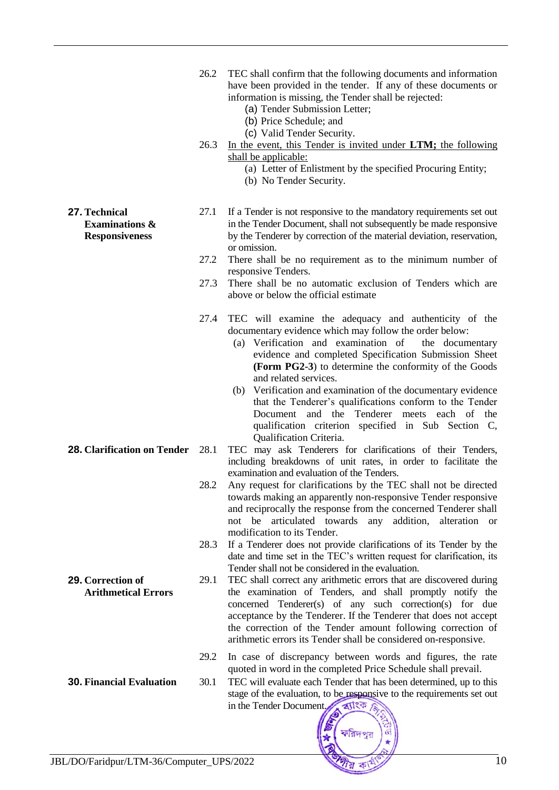- 26.2 TEC shall confirm that the following documents and information have been provided in the tender. If any of these documents or information is missing, the Tender shall be rejected:
	- (a) Tender Submission Letter;
	- (b) Price Schedule; and
	- (c) Valid Tender Security.
- 26.3 In the event, this Tender is invited under **LTM;** the following shall be applicable:
	- (a) Letter of Enlistment by the specified Procuring Entity;
	- (b) No Tender Security.

- <span id="page-9-0"></span>**27. Technical Examinations & Responsiveness**
- 27.1 If a Tender is not responsive to the mandatory requirements set out in the Tender Document, shall not subsequently be made responsive by the Tenderer by correction of the material deviation, reservation, or omission.
- 27.2 There shall be no requirement as to the minimum number of responsive Tenders.
- 27.3 There shall be no automatic exclusion of Tenders which are above or below the official estimate
- 27.4 TEC will examine the adequacy and authenticity of the documentary evidence which may follow the order below:
	- (a) Verification and examination of the documentary evidence and completed Specification Submission Sheet **(Form PG2-3**) to determine the conformity of the Goods and related services.
	- (b) Verification and examination of the documentary evidence that the Tenderer's qualifications conform to the Tender Document and the Tenderer meets each of the qualification criterion specified in Sub Section C, Qualification Criteria.
- <span id="page-9-1"></span>**28. Clarification on Tender** 28.1 TEC may ask Tenderers for clarifications of their Tenders, including breakdowns of unit rates, in order to facilitate the examination and evaluation of the Tenders.
	- 28.2 Any request for clarifications by the TEC shall not be directed towards making an apparently non-responsive Tender responsive and reciprocally the response from the concerned Tenderer shall not be articulated towards any addition, alteration or modification to its Tender.
	- 28.3 If a Tenderer does not provide clarifications of its Tender by the date and time set in the TEC's written request for clarification, its Tender shall not be considered in the evaluation.
	- 29.1 TEC shall correct any arithmetic errors that are discovered during the examination of Tenders, and shall promptly notify the concerned Tenderer(s) of any such correction(s) for due acceptance by the Tenderer. If the Tenderer that does not accept the correction of the Tender amount following correction of arithmetic errors its Tender shall be considered on-responsive.
	- 29.2 In case of discrepancy between words and figures, the rate quoted in word in the completed Price Schedule shall prevail.
- **30. Financial Evaluation** 30.1 TEC will evaluate each Tender that has been determined, up to this stage of the evaluation, to be responsive to the requirements set out in the Tender Document. in the Tender Document.



<span id="page-9-3"></span>

- 
- <span id="page-9-2"></span>**29. Correction of**

#### **Arithmetical Errors**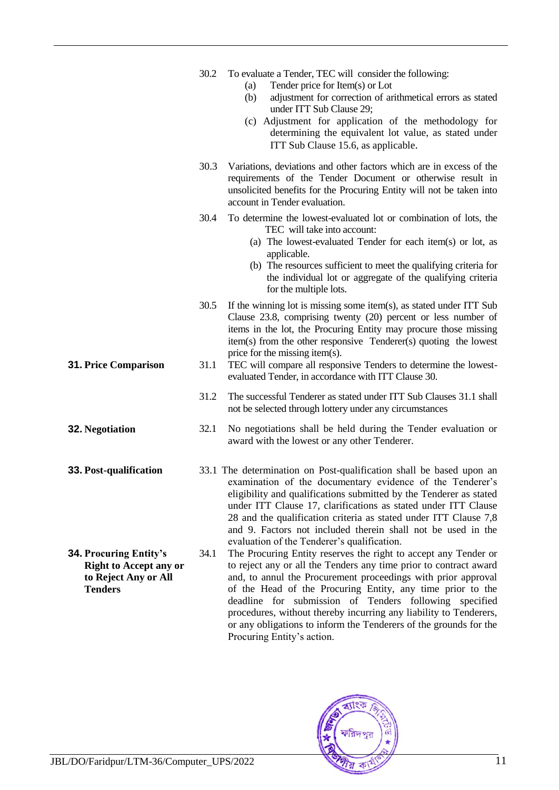<span id="page-10-1"></span><span id="page-10-0"></span>

|                                                                                                          | 30.2         | To evaluate a Tender, TEC will consider the following:<br>Tender price for Item(s) or Lot<br>(a)<br>adjustment for correction of arithmetical errors as stated<br>(b)<br>under ITT Sub Clause 29;<br>(c) Adjustment for application of the methodology for<br>determining the equivalent lot value, as stated under<br>ITT Sub Clause 15.6, as applicable.                                                                                                                                            |
|----------------------------------------------------------------------------------------------------------|--------------|-------------------------------------------------------------------------------------------------------------------------------------------------------------------------------------------------------------------------------------------------------------------------------------------------------------------------------------------------------------------------------------------------------------------------------------------------------------------------------------------------------|
|                                                                                                          | 30.3         | Variations, deviations and other factors which are in excess of the<br>requirements of the Tender Document or otherwise result in<br>unsolicited benefits for the Procuring Entity will not be taken into<br>account in Tender evaluation.                                                                                                                                                                                                                                                            |
|                                                                                                          | 30.4         | To determine the lowest-evaluated lot or combination of lots, the<br>TEC will take into account:<br>(a) The lowest-evaluated Tender for each item(s) or lot, as<br>applicable.<br>(b) The resources sufficient to meet the qualifying criteria for<br>the individual lot or aggregate of the qualifying criteria<br>for the multiple lots.                                                                                                                                                            |
| <b>31. Price Comparison</b>                                                                              | 30.5<br>31.1 | If the winning lot is missing some item $(s)$ , as stated under ITT Sub<br>Clause 23.8, comprising twenty (20) percent or less number of<br>items in the lot, the Procuring Entity may procure those missing<br>item(s) from the other responsive Tenderer(s) quoting the lowest<br>price for the missing item(s).<br>TEC will compare all responsive Tenders to determine the lowest-<br>evaluated Tender, in accordance with ITT Clause 30.                                                         |
|                                                                                                          | 31.2         | The successful Tenderer as stated under ITT Sub Clauses 31.1 shall<br>not be selected through lottery under any circumstances                                                                                                                                                                                                                                                                                                                                                                         |
| <b>32. Negotiation</b>                                                                                   | 32.1         | No negotiations shall be held during the Tender evaluation or<br>award with the lowest or any other Tenderer.                                                                                                                                                                                                                                                                                                                                                                                         |
| 33. Post-qualification                                                                                   |              | 33.1 The determination on Post-qualification shall be based upon an<br>examination of the documentary evidence of the Tenderer's<br>eligibility and qualifications submitted by the Tenderer as stated<br>under ITT Clause 17, clarifications as stated under ITT Clause<br>28 and the qualification criteria as stated under ITT Clause 7,8<br>and 9. Factors not included therein shall not be used in the<br>evaluation of the Tenderer's qualification.                                           |
| <b>34. Procuring Entity's</b><br><b>Right to Accept any or</b><br>to Reject Any or All<br><b>Tenders</b> | 34.1         | The Procuring Entity reserves the right to accept any Tender or<br>to reject any or all the Tenders any time prior to contract award<br>and, to annul the Procurement proceedings with prior approval<br>of the Head of the Procuring Entity, any time prior to the<br>deadline for submission of Tenders following specified<br>procedures, without thereby incurring any liability to Tenderers,<br>or any obligations to inform the Tenderers of the grounds for the<br>Procuring Entity's action. |

<span id="page-10-2"></span>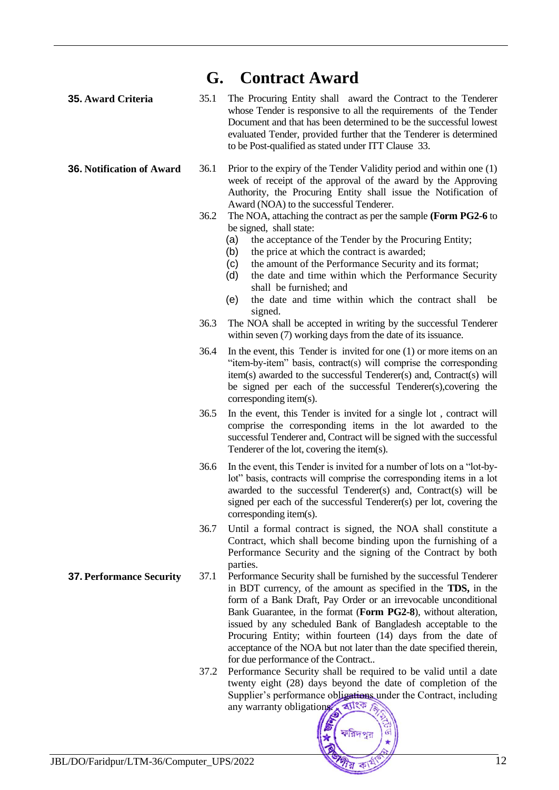## **G. Contract Award**

- <span id="page-11-0"></span>**35. Award Criteria** 35.1 The Procuring Entity shall award the Contract to the Tenderer whose Tender is responsive to all the requirements of the Tender Document and that has been determined to be the successful lowest evaluated Tender, provided further that the Tenderer is determined to be Post-qualified as stated under ITT Clause 33.
- <span id="page-11-1"></span>**36.** Notification of Award 36.1 Prior to the expiry of the Tender Validity period and within one (1) week of receipt of the approval of the award by the Approving Authority, the Procuring Entity shall issue the Notification of Award (NOA) to the successful Tenderer.
	- 36.2 The NOA, attaching the contract as per the sample **(Form PG2-6** to be signed, shall state:
		- (a) the acceptance of the Tender by the Procuring Entity;
		- (b) the price at which the contract is awarded;
		- (c) the amount of the Performance Security and its format;
		- (d) the date and time within which the Performance Security shall be furnished; and
		- (e) the date and time within which the contract shall be signed.
	- 36.3 The NOA shall be accepted in writing by the successful Tenderer within seven (7) working days from the date of its issuance.
	- 36.4 In the event, this Tender is invited for one (1) or more items on an "item-by-item" basis, contract(s) will comprise the corresponding item(s) awarded to the successful Tenderer(s) and, Contract(s) will be signed per each of the successful Tenderer(s),covering the corresponding item(s).
	- 36.5 In the event, this Tender is invited for a single lot , contract will comprise the corresponding items in the lot awarded to the successful Tenderer and, Contract will be signed with the successful Tenderer of the lot, covering the item(s).
	- 36.6 In the event, this Tender is invited for a number of lots on a "lot-bylot" basis, contracts will comprise the corresponding items in a lot awarded to the successful Tenderer(s) and, Contract(s) will be signed per each of the successful Tenderer(s) per lot, covering the corresponding item(s).
	- 36.7 Until a formal contract is signed, the NOA shall constitute a Contract, which shall become binding upon the furnishing of a Performance Security and the signing of the Contract by both parties.
- **37. Performance Security** 37.1 Performance Security shall be furnished by the successful Tenderer in BDT currency, of the amount as specified in the **TDS,** in the form of a Bank Draft, Pay Order or an irrevocable unconditional Bank Guarantee, in the format (**Form PG2-8**), without alteration, issued by any scheduled Bank of Bangladesh acceptable to the Procuring Entity; within fourteen (14) days from the date of acceptance of the NOA but not later than the date specified therein, for due performance of the Contract..
	- 37.2 Performance Security shall be required to be valid until a date twenty eight (28) days beyond the date of completion of the Supplier's performance obligations under the Contract, including any warranty obligations. Allew 13

ফরিদপর

<span id="page-11-2"></span>

- 
-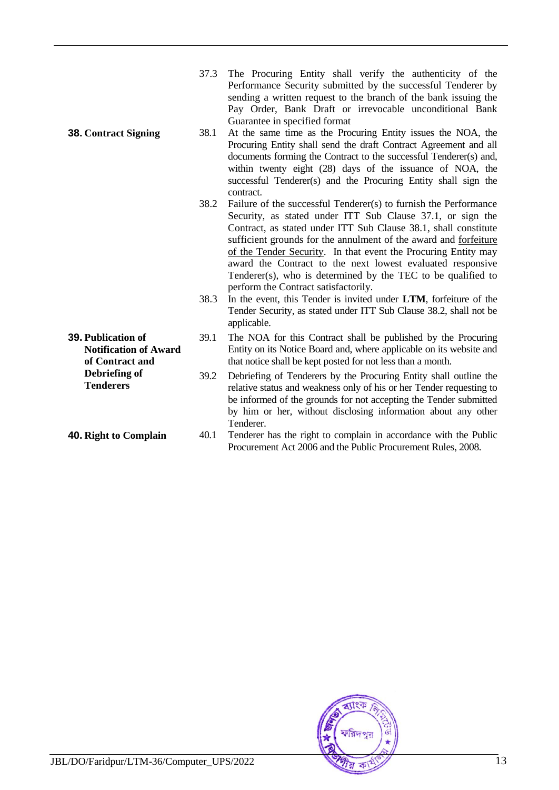- 37.3 The Procuring Entity shall verify the authenticity of the Performance Security submitted by the successful Tenderer by sending a written request to the branch of the bank issuing the Pay Order, Bank Draft or irrevocable unconditional Bank Guarantee in specified format
- <span id="page-12-0"></span>**38. Contract Signing** 38.1 At the same time as the Procuring Entity issues the NOA, the Procuring Entity shall send the draft Contract Agreement and all documents forming the Contract to the successful Tenderer(s) and, within twenty eight (28) days of the issuance of NOA, the successful Tenderer(s) and the Procuring Entity shall sign the contract.
	- 38.2 Failure of the successful Tenderer(s) to furnish the Performance Security, as stated under ITT Sub Clause 37.1, or sign the Contract, as stated under ITT Sub Clause 38.1, shall constitute sufficient grounds for the annulment of the award and forfeiture of the Tender Security. In that event the Procuring Entity may award the Contract to the next lowest evaluated responsive Tenderer(s), who is determined by the TEC to be qualified to perform the Contract satisfactorily.
	- 38.3 In the event, this Tender is invited under **LTM**, forfeiture of the Tender Security, as stated under ITT Sub Clause 38.2, shall not be applicable.
	- 39.1 The NOA for this Contract shall be published by the Procuring Entity on its Notice Board and, where applicable on its website and that notice shall be kept posted for not less than a month.
	- 39.2 Debriefing of Tenderers by the Procuring Entity shall outline the relative status and weakness only of his or her Tender requesting to be informed of the grounds for not accepting the Tender submitted by him or her, without disclosing information about any other Tenderer.
- <span id="page-12-1"></span>**40. Right to Complain** 40.1 Tenderer has the right to complain in accordance with the Public Procurement Act 2006 and the Public Procurement Rules, 2008.

**39. Publication of Notification of Award of Contract and Debriefing of Tenderers**

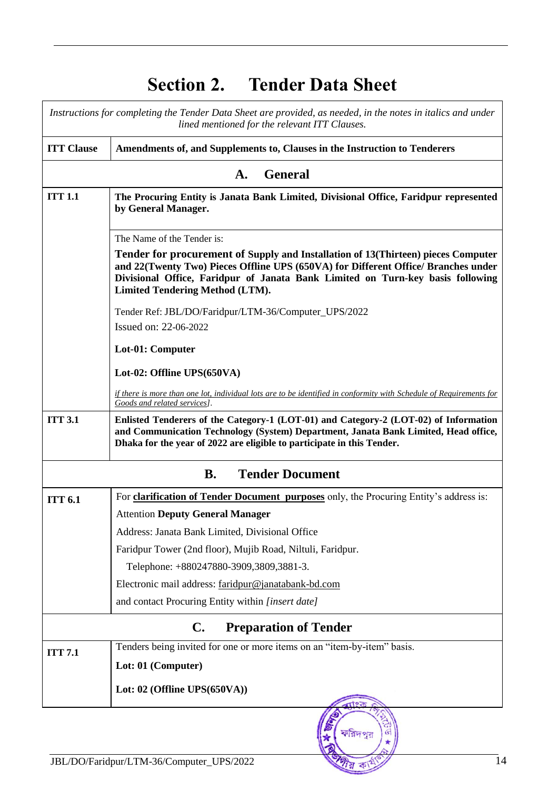<span id="page-13-2"></span><span id="page-13-1"></span><span id="page-13-0"></span>

|                   | Instructions for completing the Tender Data Sheet are provided, as needed, in the notes in italics and under<br>lined mentioned for the relevant ITT Clauses.                                                                                                                                                                      |  |  |
|-------------------|------------------------------------------------------------------------------------------------------------------------------------------------------------------------------------------------------------------------------------------------------------------------------------------------------------------------------------|--|--|
| <b>ITT Clause</b> | Amendments of, and Supplements to, Clauses in the Instruction to Tenderers                                                                                                                                                                                                                                                         |  |  |
|                   | <b>General</b><br>A.                                                                                                                                                                                                                                                                                                               |  |  |
| <b>ITT 1.1</b>    | The Procuring Entity is Janata Bank Limited, Divisional Office, Faridpur represented<br>by General Manager.                                                                                                                                                                                                                        |  |  |
|                   | The Name of the Tender is:<br>Tender for procurement of Supply and Installation of 13 (Thirteen) pieces Computer<br>and 22(Twenty Two) Pieces Offline UPS (650VA) for Different Office/ Branches under<br>Divisional Office, Faridpur of Janata Bank Limited on Turn-key basis following<br><b>Limited Tendering Method (LTM).</b> |  |  |
|                   | Tender Ref: JBL/DO/Faridpur/LTM-36/Computer_UPS/2022<br>Issued on: 22-06-2022                                                                                                                                                                                                                                                      |  |  |
|                   | Lot-01: Computer                                                                                                                                                                                                                                                                                                                   |  |  |
|                   | Lot-02: Offline UPS(650VA)                                                                                                                                                                                                                                                                                                         |  |  |
|                   | if there is more than one lot, individual lots are to be identified in conformity with Schedule of Requirements for<br>Goods and related services].                                                                                                                                                                                |  |  |
| <b>ITT 3.1</b>    | Enlisted Tenderers of the Category-1 (LOT-01) and Category-2 (LOT-02) of Information<br>and Communication Technology (System) Department, Janata Bank Limited, Head office,<br>Dhaka for the year of 2022 are eligible to participate in this Tender.                                                                              |  |  |
|                   | <b>Tender Document</b><br><b>B.</b>                                                                                                                                                                                                                                                                                                |  |  |
| <b>ITT 6.1</b>    | For clarification of Tender Document purposes only, the Procuring Entity's address is:                                                                                                                                                                                                                                             |  |  |
|                   | <b>Attention Deputy General Manager</b>                                                                                                                                                                                                                                                                                            |  |  |
|                   | Address: Janata Bank Limited, Divisional Office                                                                                                                                                                                                                                                                                    |  |  |
|                   | Faridpur Tower (2nd floor), Mujib Road, Niltuli, Faridpur.                                                                                                                                                                                                                                                                         |  |  |
|                   | Telephone: +880247880-3909,3809,3881-3.                                                                                                                                                                                                                                                                                            |  |  |
|                   | Electronic mail address: faridpur@janatabank-bd.com                                                                                                                                                                                                                                                                                |  |  |
|                   | and contact Procuring Entity within [insert date]                                                                                                                                                                                                                                                                                  |  |  |
|                   | $\mathbf{C}$ .<br><b>Preparation of Tender</b>                                                                                                                                                                                                                                                                                     |  |  |
|                   | Tenders being invited for one or more items on an "item-by-item" basis.                                                                                                                                                                                                                                                            |  |  |
| <b>ITT 7.1</b>    | Lot: 01 (Computer)                                                                                                                                                                                                                                                                                                                 |  |  |
|                   | Lot: 02 (Offline UPS(650VA))                                                                                                                                                                                                                                                                                                       |  |  |
|                   |                                                                                                                                                                                                                                                                                                                                    |  |  |

<span id="page-13-3"></span>ফরিদপর

# **Section 2. Tender Data Sheet**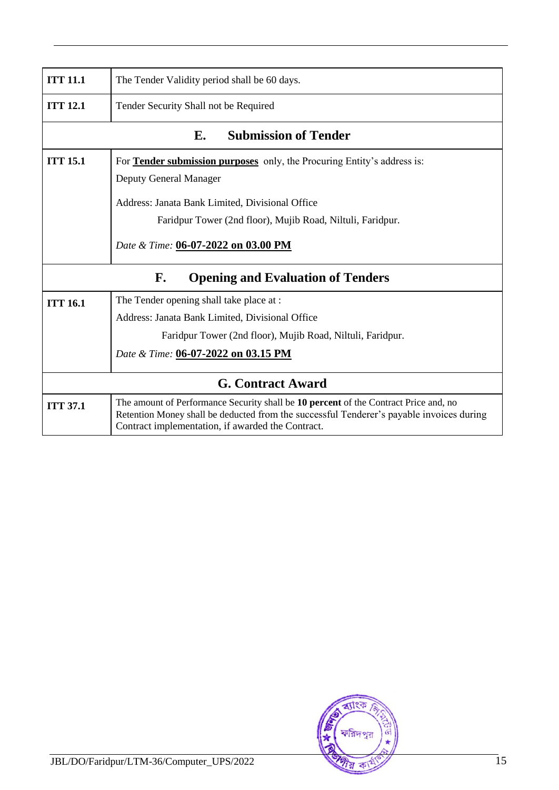<span id="page-14-1"></span><span id="page-14-0"></span>

| <b>ITT 11.1</b>                                | The Tender Validity period shall be 60 days.                                                                                                                                                                                                                     |  |  |
|------------------------------------------------|------------------------------------------------------------------------------------------------------------------------------------------------------------------------------------------------------------------------------------------------------------------|--|--|
| <b>ITT 12.1</b>                                | Tender Security Shall not be Required                                                                                                                                                                                                                            |  |  |
|                                                | <b>Submission of Tender</b><br>Е.                                                                                                                                                                                                                                |  |  |
| <b>ITT 15.1</b>                                | For <b>Tender submission purposes</b> only, the Procuring Entity's address is:<br>Deputy General Manager<br>Address: Janata Bank Limited, Divisional Office<br>Faridpur Tower (2nd floor), Mujib Road, Niltuli, Faridpur.<br>Date & Time: 06-07-2022 on 03.00 PM |  |  |
| F.<br><b>Opening and Evaluation of Tenders</b> |                                                                                                                                                                                                                                                                  |  |  |
| <b>ITT 16.1</b>                                | The Tender opening shall take place at:<br>Address: Janata Bank Limited, Divisional Office<br>Faridpur Tower (2nd floor), Mujib Road, Niltuli, Faridpur.<br>Date & Time: 06-07-2022 on 03.15 PM                                                                  |  |  |
|                                                | <b>G. Contract Award</b>                                                                                                                                                                                                                                         |  |  |
| <b>ITT 37.1</b>                                | The amount of Performance Security shall be 10 percent of the Contract Price and, no<br>Retention Money shall be deducted from the successful Tenderer's payable invoices during<br>Contract implementation, if awarded the Contract.                            |  |  |

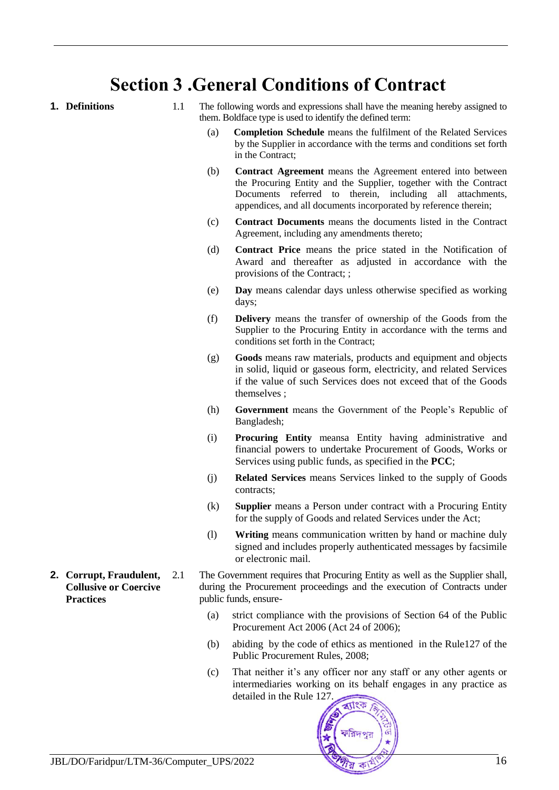# **Section 3 .General Conditions of Contract**

- 
- <span id="page-15-1"></span><span id="page-15-0"></span>**1. Definitions** 1.1 The following words and expressions shall have the meaning hereby assigned to them. Boldface type is used to identify the defined term:
	- (a) **Completion Schedule** means the fulfilment of the Related Services by the Supplier in accordance with the terms and conditions set forth in the Contract;
	- (b) **Contract Agreement** means the Agreement entered into between the Procuring Entity and the Supplier, together with the Contract Documents referred to therein, including all attachments, appendices, and all documents incorporated by reference therein;
	- (c) **Contract Documents** means the documents listed in the Contract Agreement, including any amendments thereto;
	- (d) **Contract Price** means the price stated in the Notification of Award and thereafter as adjusted in accordance with the provisions of the Contract; ;
	- (e) **Day** means calendar days unless otherwise specified as working days;
	- (f) **Delivery** means the transfer of ownership of the Goods from the Supplier to the Procuring Entity in accordance with the terms and conditions set forth in the Contract;
	- (g) **Goods** means raw materials, products and equipment and objects in solid, liquid or gaseous form, electricity, and related Services if the value of such Services does not exceed that of the Goods themselves ;
	- (h) **Government** means the Government of the People's Republic of Bangladesh;
	- (i) **Procuring Entity** meansa Entity having administrative and financial powers to undertake Procurement of Goods, Works or Services using public funds, as specified in the **PCC**;
	- (j) **Related Services** means Services linked to the supply of Goods contracts;
	- (k) **Supplier** means a Person under contract with a Procuring Entity for the supply of Goods and related Services under the Act;
	- (l) **Writing** means communication written by hand or machine duly signed and includes properly authenticated messages by facsimile or electronic mail.
	- 2.1 The Government requires that Procuring Entity as well as the Supplier shall, during the Procurement proceedings and the execution of Contracts under public funds, ensure-
		- (a) strict compliance with the provisions of Section 64 of the Public Procurement Act 2006 (Act 24 of 2006);
		- (b) abiding by the code of ethics as mentioned in the Rule127 of the Public Procurement Rules, 2008;
		- (c) That neither it's any officer nor any staff or any other agents or intermediaries working on its behalf engages in any practice as detailed in the Rule 127.



<span id="page-15-2"></span>**2. Corrupt, Fraudulent, Collusive or Coercive Practices**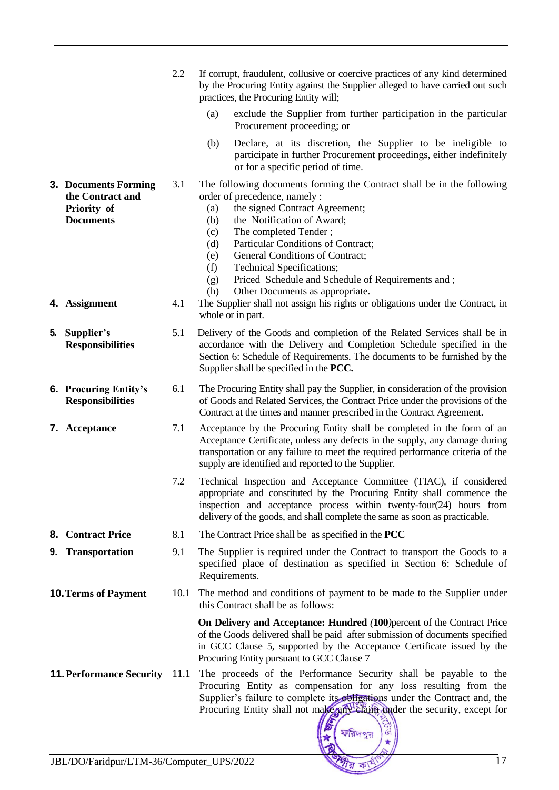<span id="page-16-4"></span><span id="page-16-3"></span><span id="page-16-2"></span><span id="page-16-1"></span><span id="page-16-0"></span>

|    |                                                                                                     | 2.2        | If corrupt, fraudulent, collusive or coercive practices of any kind determined<br>by the Procuring Entity against the Supplier alleged to have carried out such<br>practices, the Procuring Entity will;                                                                                                                                                                                                                                                                                                                                 |
|----|-----------------------------------------------------------------------------------------------------|------------|------------------------------------------------------------------------------------------------------------------------------------------------------------------------------------------------------------------------------------------------------------------------------------------------------------------------------------------------------------------------------------------------------------------------------------------------------------------------------------------------------------------------------------------|
|    |                                                                                                     |            | exclude the Supplier from further participation in the particular<br>(a)<br>Procurement proceeding; or                                                                                                                                                                                                                                                                                                                                                                                                                                   |
|    |                                                                                                     |            | Declare, at its discretion, the Supplier to be ineligible to<br>(b)<br>participate in further Procurement proceedings, either indefinitely<br>or for a specific period of time.                                                                                                                                                                                                                                                                                                                                                          |
|    | <b>3. Documents Forming</b><br>the Contract and<br>Priority of<br><b>Documents</b><br>4. Assignment | 3.1<br>4.1 | The following documents forming the Contract shall be in the following<br>order of precedence, namely :<br>the signed Contract Agreement;<br>(a)<br>the Notification of Award;<br>(b)<br>The completed Tender;<br>(c)<br>Particular Conditions of Contract;<br>(d)<br>General Conditions of Contract;<br>(e)<br>Technical Specifications;<br>(f)<br>Priced Schedule and Schedule of Requirements and;<br>(g)<br>Other Documents as appropriate.<br>(h)<br>The Supplier shall not assign his rights or obligations under the Contract, in |
|    |                                                                                                     |            | whole or in part.                                                                                                                                                                                                                                                                                                                                                                                                                                                                                                                        |
| 5. | Supplier's<br><b>Responsibilities</b>                                                               | 5.1        | Delivery of the Goods and completion of the Related Services shall be in<br>accordance with the Delivery and Completion Schedule specified in the<br>Section 6: Schedule of Requirements. The documents to be furnished by the<br>Supplier shall be specified in the PCC.                                                                                                                                                                                                                                                                |
|    | <b>6. Procuring Entity's</b><br><b>Responsibilities</b>                                             | 6.1        | The Procuring Entity shall pay the Supplier, in consideration of the provision<br>of Goods and Related Services, the Contract Price under the provisions of the<br>Contract at the times and manner prescribed in the Contract Agreement.                                                                                                                                                                                                                                                                                                |
|    | 7. Acceptance                                                                                       | 7.1        | Acceptance by the Procuring Entity shall be completed in the form of an<br>Acceptance Certificate, unless any defects in the supply, any damage during<br>transportation or any failure to meet the required performance criteria of the<br>supply are identified and reported to the Supplier.                                                                                                                                                                                                                                          |
|    |                                                                                                     | 7.2        | Technical Inspection and Acceptance Committee (TIAC), if considered<br>appropriate and constituted by the Procuring Entity shall commence the<br>inspection and acceptance process within twenty-four(24) hours from<br>delivery of the goods, and shall complete the same as soon as practicable.                                                                                                                                                                                                                                       |
|    | <b>8. Contract Price</b>                                                                            | 8.1        | The Contract Price shall be as specified in the <b>PCC</b>                                                                                                                                                                                                                                                                                                                                                                                                                                                                               |
|    | 9. Transportation                                                                                   | 9.1        | The Supplier is required under the Contract to transport the Goods to a<br>specified place of destination as specified in Section 6: Schedule of<br>Requirements.                                                                                                                                                                                                                                                                                                                                                                        |
|    | <b>10. Terms of Payment</b>                                                                         | 10.1       | The method and conditions of payment to be made to the Supplier under<br>this Contract shall be as follows:                                                                                                                                                                                                                                                                                                                                                                                                                              |
|    |                                                                                                     |            | On Delivery and Acceptance: Hundred (100) percent of the Contract Price<br>of the Goods delivered shall be paid after submission of documents specified<br>in GCC Clause 5, supported by the Acceptance Certificate issued by the<br>Procuring Entity pursuant to GCC Clause 7                                                                                                                                                                                                                                                           |
|    | <b>11. Performance Security</b>                                                                     | 11.1       | The proceeds of the Performance Security shall be payable to the<br>Procuring Entity as compensation for any loss resulting from the<br>Supplier's failure to complete its obligations under the Contract and, the<br>Procuring Entity shall not make any claim under the security, except for                                                                                                                                                                                                                                           |

 $\frac{1}{\mathcal{G}}$ 

 $\star$ 

<span id="page-16-8"></span><span id="page-16-7"></span><span id="page-16-6"></span><span id="page-16-5"></span>ফরিদপুর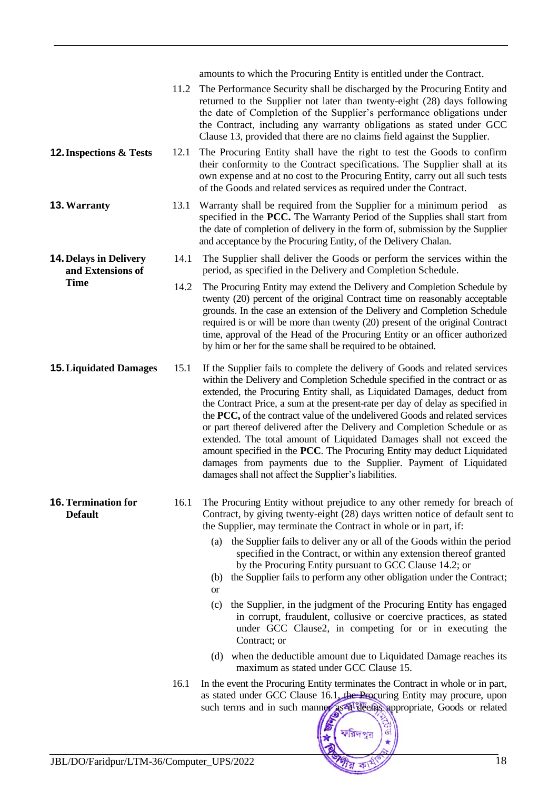<span id="page-17-4"></span><span id="page-17-3"></span><span id="page-17-2"></span><span id="page-17-1"></span><span id="page-17-0"></span>

|                                                    |      | amounts to which the Procuring Entity is entitled under the Contract.                                                                                                                                                                                                                                                                                                                                                                                                                                                                                                                                                                                                                                                                                                   |
|----------------------------------------------------|------|-------------------------------------------------------------------------------------------------------------------------------------------------------------------------------------------------------------------------------------------------------------------------------------------------------------------------------------------------------------------------------------------------------------------------------------------------------------------------------------------------------------------------------------------------------------------------------------------------------------------------------------------------------------------------------------------------------------------------------------------------------------------------|
|                                                    |      | 11.2 The Performance Security shall be discharged by the Procuring Entity and<br>returned to the Supplier not later than twenty-eight (28) days following<br>the date of Completion of the Supplier's performance obligations under<br>the Contract, including any warranty obligations as stated under GCC<br>Clause 13, provided that there are no claims field against the Supplier.                                                                                                                                                                                                                                                                                                                                                                                 |
| <b>12. Inspections &amp; Tests</b>                 | 12.1 | The Procuring Entity shall have the right to test the Goods to confirm<br>their conformity to the Contract specifications. The Supplier shall at its<br>own expense and at no cost to the Procuring Entity, carry out all such tests<br>of the Goods and related services as required under the Contract.                                                                                                                                                                                                                                                                                                                                                                                                                                                               |
| <b>13. Warranty</b>                                | 13.1 | Warranty shall be required from the Supplier for a minimum period as<br>specified in the PCC. The Warranty Period of the Supplies shall start from<br>the date of completion of delivery in the form of, submission by the Supplier<br>and acceptance by the Procuring Entity, of the Delivery Chalan.                                                                                                                                                                                                                                                                                                                                                                                                                                                                  |
| <b>14. Delays in Delivery</b><br>and Extensions of | 14.1 | The Supplier shall deliver the Goods or perform the services within the<br>period, as specified in the Delivery and Completion Schedule.                                                                                                                                                                                                                                                                                                                                                                                                                                                                                                                                                                                                                                |
| <b>Time</b>                                        | 14.2 | The Procuring Entity may extend the Delivery and Completion Schedule by<br>twenty (20) percent of the original Contract time on reasonably acceptable<br>grounds. In the case an extension of the Delivery and Completion Schedule<br>required is or will be more than twenty (20) present of the original Contract<br>time, approval of the Head of the Procuring Entity or an officer authorized<br>by him or her for the same shall be required to be obtained.                                                                                                                                                                                                                                                                                                      |
| <b>15. Liquidated Damages</b>                      | 15.1 | If the Supplier fails to complete the delivery of Goods and related services<br>within the Delivery and Completion Schedule specified in the contract or as<br>extended, the Procuring Entity shall, as Liquidated Damages, deduct from<br>the Contract Price, a sum at the present-rate per day of delay as specified in<br>the PCC, of the contract value of the undelivered Goods and related services<br>or part thereof delivered after the Delivery and Completion Schedule or as<br>extended. The total amount of Liquidated Damages shall not exceed the<br>amount specified in the PCC. The Procuring Entity may deduct Liquidated<br>damages from payments due to the Supplier. Payment of Liquidated<br>damages shall not affect the Supplier's liabilities. |
| <b>16. Termination for</b><br><b>Default</b>       | 16.1 | The Procuring Entity without prejudice to any other remedy for breach of<br>Contract, by giving twenty-eight (28) days written notice of default sent to<br>the Supplier, may terminate the Contract in whole or in part, if:                                                                                                                                                                                                                                                                                                                                                                                                                                                                                                                                           |
|                                                    |      | the Supplier fails to deliver any or all of the Goods within the period<br>(a)<br>specified in the Contract, or within any extension thereof granted<br>by the Procuring Entity pursuant to GCC Clause 14.2; or<br>the Supplier fails to perform any other obligation under the Contract;<br>(b)<br><b>or</b>                                                                                                                                                                                                                                                                                                                                                                                                                                                           |
|                                                    |      | the Supplier, in the judgment of the Procuring Entity has engaged<br>(c)<br>in corrupt, fraudulent, collusive or coercive practices, as stated<br>under GCC Clause2, in competing for or in executing the<br>Contract; or                                                                                                                                                                                                                                                                                                                                                                                                                                                                                                                                               |
|                                                    |      | (d) when the deductible amount due to Liquidated Damage reaches its<br>maximum as stated under GCC Clause 15.                                                                                                                                                                                                                                                                                                                                                                                                                                                                                                                                                                                                                                                           |
|                                                    | 16.1 | In the event the Procuring Entity terminates the Contract in whole or in part,<br>as stated under GCC Clause 16.1, the Procuring Entity may procure, upon<br>such terms and in such manner as it deems appropriate, Goods or related<br>ফরিদপুর<br>6                                                                                                                                                                                                                                                                                                                                                                                                                                                                                                                    |
| JBL/DO/Faridpur/LTM-36/Computer_UPS/2022           |      | 18                                                                                                                                                                                                                                                                                                                                                                                                                                                                                                                                                                                                                                                                                                                                                                      |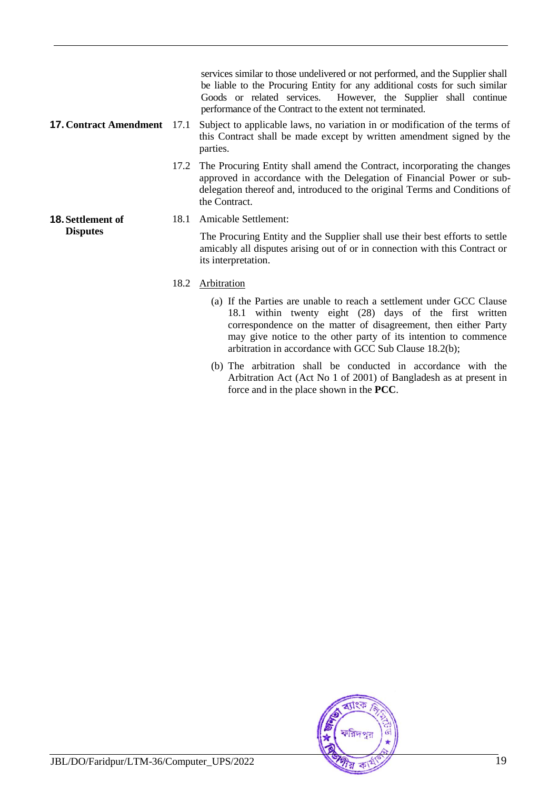services similar to those undelivered or not performed, and the Supplier shall be liable to the Procuring Entity for any additional costs for such similar Goods or related services. However, the Supplier shall continue performance of the Contract to the extent not terminated.

- <span id="page-18-0"></span>**17. Contract Amendment** 17.1 Subject to applicable laws, no variation in or modification of the terms of this Contract shall be made except by written amendment signed by the parties.
	- 17.2 The Procuring Entity shall amend the Contract, incorporating the changes approved in accordance with the Delegation of Financial Power or subdelegation thereof and, introduced to the original Terms and Conditions of the Contract.
	- 18.1 Amicable Settlement:

The Procuring Entity and the Supplier shall use their best efforts to settle amicably all disputes arising out of or in connection with this Contract or its interpretation.

#### 18.2 Arbitration

<span id="page-18-1"></span>**18.Settlement of Disputes**

- (a) If the Parties are unable to reach a settlement under GCC Clause 18.1 within twenty eight (28) days of the first written correspondence on the matter of disagreement, then either Party may give notice to the other party of its intention to commence arbitration in accordance with GCC Sub Clause 18.2(b);
- (b) The arbitration shall be conducted in accordance with the Arbitration Act (Act No 1 of 2001) of Bangladesh as at present in force and in the place shown in the **PCC**.



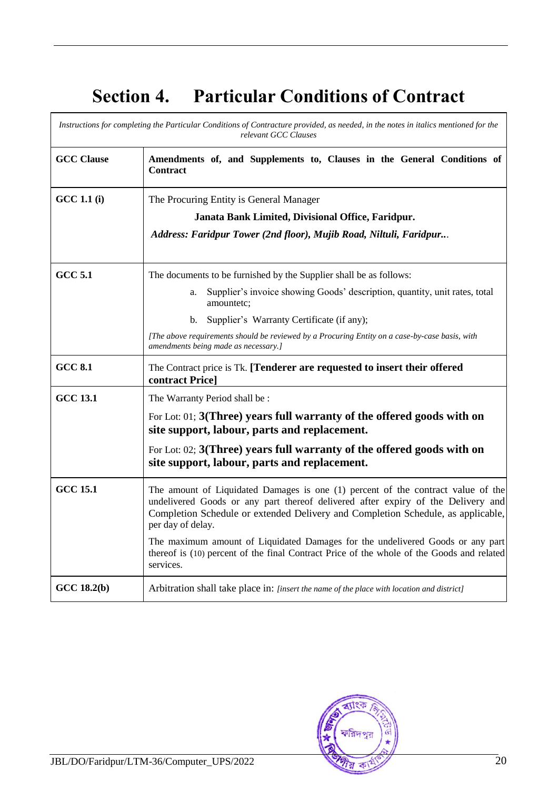# **Section 4. Particular Conditions of Contract**

<span id="page-19-0"></span>

| Instructions for completing the Particular Conditions of Contracture provided, as needed, in the notes in italics mentioned for the<br>relevant GCC Clauses |                                                                                                                                                                                                                                                                               |  |  |
|-------------------------------------------------------------------------------------------------------------------------------------------------------------|-------------------------------------------------------------------------------------------------------------------------------------------------------------------------------------------------------------------------------------------------------------------------------|--|--|
| <b>GCC Clause</b>                                                                                                                                           | Amendments of, and Supplements to, Clauses in the General Conditions of<br>Contract                                                                                                                                                                                           |  |  |
| <b>GCC 1.1 (i)</b>                                                                                                                                          | The Procuring Entity is General Manager                                                                                                                                                                                                                                       |  |  |
|                                                                                                                                                             | Janata Bank Limited, Divisional Office, Faridpur.                                                                                                                                                                                                                             |  |  |
|                                                                                                                                                             | Address: Faridpur Tower (2nd floor), Mujib Road, Niltuli, Faridpur                                                                                                                                                                                                            |  |  |
| <b>GCC 5.1</b>                                                                                                                                              | The documents to be furnished by the Supplier shall be as follows:                                                                                                                                                                                                            |  |  |
|                                                                                                                                                             | Supplier's invoice showing Goods' description, quantity, unit rates, total<br>a.<br>amountetc;                                                                                                                                                                                |  |  |
|                                                                                                                                                             | Supplier's Warranty Certificate (if any);<br>b.                                                                                                                                                                                                                               |  |  |
|                                                                                                                                                             | [The above requirements should be reviewed by a Procuring Entity on a case-by-case basis, with<br>amendments being made as necessary.]                                                                                                                                        |  |  |
| <b>GCC 8.1</b>                                                                                                                                              | The Contract price is Tk. [Tenderer are requested to insert their offered<br>contract Price]                                                                                                                                                                                  |  |  |
| GCC 13.1                                                                                                                                                    | The Warranty Period shall be :                                                                                                                                                                                                                                                |  |  |
|                                                                                                                                                             | For Lot: 01; 3(Three) years full warranty of the offered goods with on<br>site support, labour, parts and replacement.                                                                                                                                                        |  |  |
|                                                                                                                                                             | For Lot: 02; 3(Three) years full warranty of the offered goods with on<br>site support, labour, parts and replacement.                                                                                                                                                        |  |  |
| <b>GCC 15.1</b>                                                                                                                                             | The amount of Liquidated Damages is one (1) percent of the contract value of the<br>undelivered Goods or any part thereof delivered after expiry of the Delivery and<br>Completion Schedule or extended Delivery and Completion Schedule, as applicable,<br>per day of delay. |  |  |
|                                                                                                                                                             | The maximum amount of Liquidated Damages for the undelivered Goods or any part<br>thereof is (10) percent of the final Contract Price of the whole of the Goods and related<br>services.                                                                                      |  |  |
| <b>GCC 18.2(b)</b>                                                                                                                                          | Arbitration shall take place in: [insert the name of the place with location and district]                                                                                                                                                                                    |  |  |



 $\overline{1}$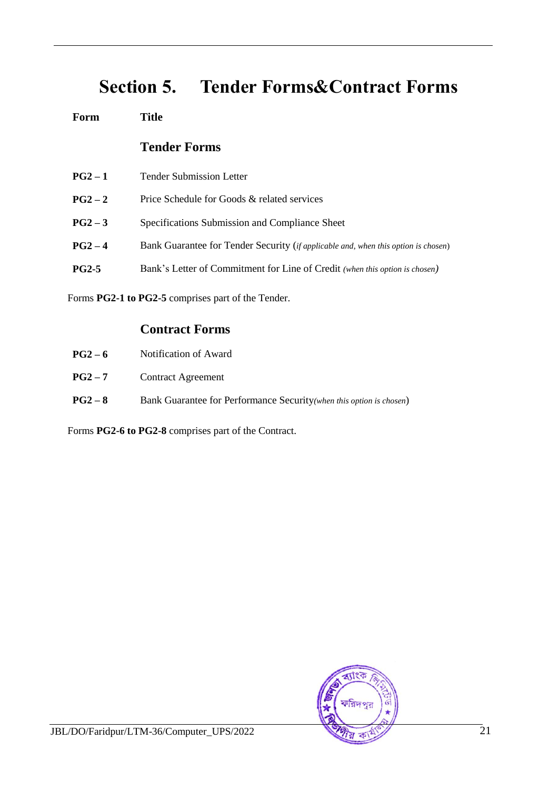# <span id="page-20-0"></span>**Section 5. Tender Forms&Contract Forms**

**Form Title**

#### **Tender Forms**

| $PG2 - 1$ | <b>Tender Submission Letter</b>                                                             |
|-----------|---------------------------------------------------------------------------------------------|
| $PG2-2$   | Price Schedule for Goods & related services                                                 |
| $PG2 - 3$ | Specifications Submission and Compliance Sheet                                              |
| $PG2-4$   | Bank Guarantee for Tender Security ( <i>if applicable and, when this option is chosen</i> ) |
| $PG2-5$   | Bank's Letter of Commitment for Line of Credit (when this option is chosen)                 |

Forms **PG2-1 to PG2-5** comprises part of the Tender.

#### **Contract Forms**

| $PG2-6$ | Notification of Award                                                |
|---------|----------------------------------------------------------------------|
| $PG2-7$ | <b>Contract Agreement</b>                                            |
| $PG2-8$ | Bank Guarantee for Performance Security (when this option is chosen) |

Forms **PG2-6 to PG2-8** comprises part of the Contract.

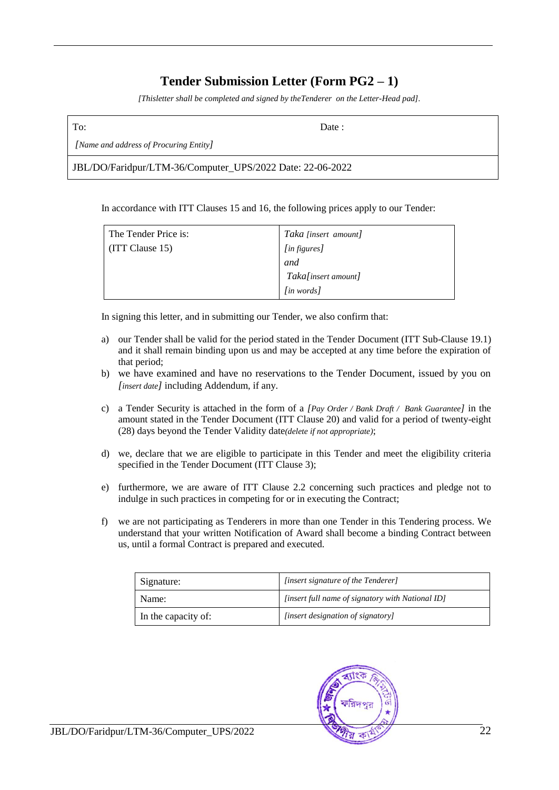### **Tender Submission Letter (Form PG2 – 1)**

*[Thisletter shall be completed and signed by theTenderer on the Letter-Head pad].*

<span id="page-21-0"></span>

To: Date :

*[Name and address of Procuring Entity]*

JBL/DO/Faridpur/LTM-36/Computer\_UPS/2022 Date: 22-06-2022

In accordance with ITT Clauses 15 and 16, the following prices apply to our Tender:

| The Tender Price is: | Taka [insert amount] |
|----------------------|----------------------|
| (ITT Clause 15)      | [in figures]         |
|                      | and                  |
|                      | Taka[insert amount]  |
|                      | $[$ in words $]$     |

In signing this letter, and in submitting our Tender, we also confirm that:

- a) our Tender shall be valid for the period stated in the Tender Document (ITT Sub-Clause 19.1) and it shall remain binding upon us and may be accepted at any time before the expiration of that period;
- b) we have examined and have no reservations to the Tender Document, issued by you on *[insert date]* including Addendum, if any.
- c) a Tender Security is attached in the form of a *[Pay Order / Bank Draft / Bank Guarantee]* in the amount stated in the Tender Document (ITT Clause 20) and valid for a period of twenty-eight (28) days beyond the Tender Validity date*(delete if not appropriate)*;
- d) we, declare that we are eligible to participate in this Tender and meet the eligibility criteria specified in the Tender Document (ITT Clause 3);
- e) furthermore, we are aware of ITT Clause 2.2 concerning such practices and pledge not to indulge in such practices in competing for or in executing the Contract;
- f) we are not participating as Tenderers in more than one Tender in this Tendering process. We understand that your written Notification of Award shall become a binding Contract between us, until a formal Contract is prepared and executed.

| Signature:          | [insert signature of the Tenderer]               |
|---------------------|--------------------------------------------------|
| Name:               | [insert full name of signatory with National ID] |
| In the capacity of: | [insert designation of signatory]                |

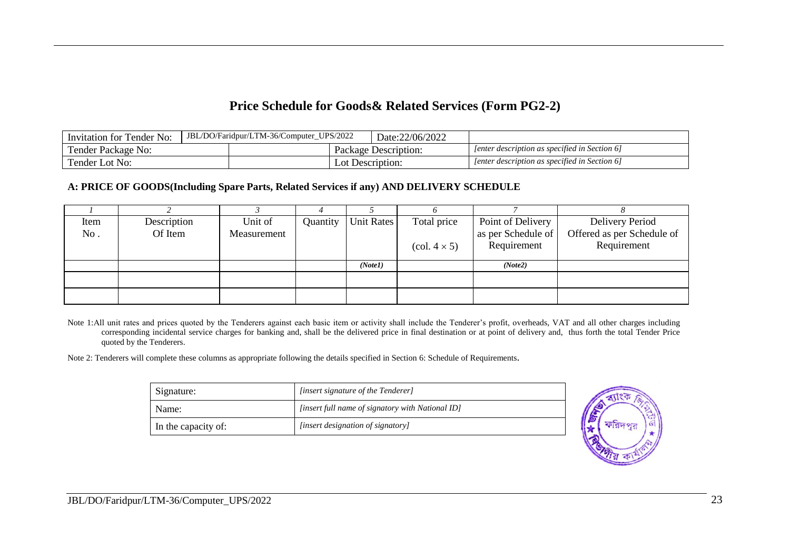#### **Price Schedule for Goods& Related Services (Form PG2-2)**

| Invitation for Tender No: | JBL/DO/Faridpur/LTM-36/Computer UPS/2022 |     | Date:22/06/2022      |                                               |
|---------------------------|------------------------------------------|-----|----------------------|-----------------------------------------------|
| Tender Package No:        |                                          |     | Package Description: | fenter description as specified in Section 61 |
| Tender Lot No:            |                                          | Lot | Description:         | [enter description as specified in Section 6] |

#### **A: PRICE OF GOODS(Including Spare Parts, Related Services if any) AND DELIVERY SCHEDULE**

| Item | Description | Unit of     | Quantity | Unit Rates | Total price                            | Point of Delivery  | Delivery Period            |
|------|-------------|-------------|----------|------------|----------------------------------------|--------------------|----------------------------|
| No.  | Of Item     | Measurement |          |            |                                        | as per Schedule of | Offered as per Schedule of |
|      |             |             |          |            | $\left(\text{col. } 4 \times 5\right)$ | Requirement        | Requirement                |
|      |             |             |          |            |                                        |                    |                            |
|      |             |             |          | (Note1)    |                                        | (Note2)            |                            |
|      |             |             |          |            |                                        |                    |                            |
|      |             |             |          |            |                                        |                    |                            |
|      |             |             |          |            |                                        |                    |                            |

<span id="page-22-0"></span>Note 1:All unit rates and prices quoted by the Tenderers against each basic item or activity shall include the Tenderer's profit, overheads, VAT and all other charges including corresponding incidental service charges for banking and, shall be the delivered price in final destination or at point of delivery and, thus forth the total Tender Price quoted by the Tenderers.

Note 2: Tenderers will complete these columns as appropriate following the details specified in Section 6: Schedule of Requirements.

| Signature:          | [insert signature of the Tenderer]               |
|---------------------|--------------------------------------------------|
| Name:               | [insert full name of signatory with National ID] |
| In the capacity of: | [insert designation of signatory]                |

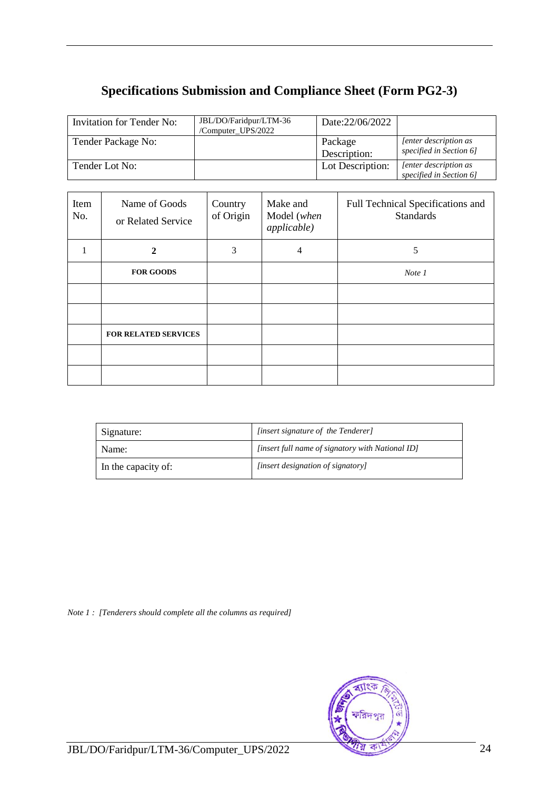## <span id="page-23-0"></span>**Specifications Submission and Compliance Sheet (Form PG2-3)**

| Invitation for Tender No: | JBL/DO/Faridpur/LTM-36<br>/Computer UPS/2022 | Date:22/06/2022         |                                                         |
|---------------------------|----------------------------------------------|-------------------------|---------------------------------------------------------|
| Tender Package No:        |                                              | Package<br>Description: | <i>lenter description as</i><br>specified in Section 6] |
| Tender Lot No:            |                                              | Lot Description:        | <i>lenter description as</i><br>specified in Section 61 |

| Item<br>No. | Name of Goods<br>or Related Service | Country<br>of Origin | Make and<br>Model (when<br><i>applicable</i> ) | Full Technical Specifications and<br><b>Standards</b> |
|-------------|-------------------------------------|----------------------|------------------------------------------------|-------------------------------------------------------|
| 1           | 2                                   | 3                    | $\overline{4}$                                 | 5                                                     |
|             | <b>FOR GOODS</b>                    |                      |                                                | Note 1                                                |
|             |                                     |                      |                                                |                                                       |
|             |                                     |                      |                                                |                                                       |
|             | <b>FOR RELATED SERVICES</b>         |                      |                                                |                                                       |
|             |                                     |                      |                                                |                                                       |
|             |                                     |                      |                                                |                                                       |

| Signature:          | [insert signature of the Tenderer]               |  |
|---------------------|--------------------------------------------------|--|
| Name:               | [insert full name of signatory with National ID] |  |
| In the capacity of: | [insert designation of signatory]                |  |

*Note 1 : [Tenderers should complete all the columns as required]*

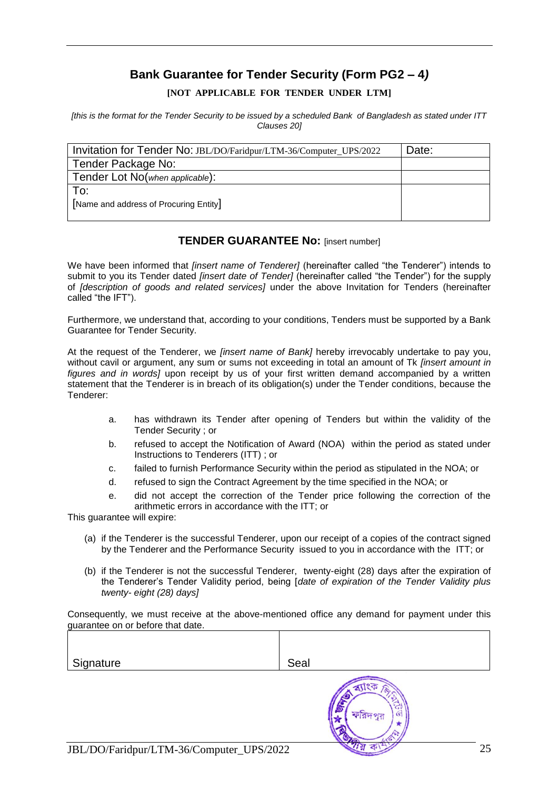#### **Bank Guarantee for Tender Security (Form PG2 – 4***)*

#### **[NOT APPLICABLE FOR TENDER UNDER LTM]**

<span id="page-24-0"></span>*[this is the format for the Tender Security to be issued by a scheduled Bank of Bangladesh as stated under ITT Clauses 20]*

| Invitation for Tender No: JBL/DO/Faridpur/LTM-36/Computer_UPS/2022 | Date: |
|--------------------------------------------------------------------|-------|
| Tender Package No:                                                 |       |
| Tender Lot No(when applicable):                                    |       |
| To:                                                                |       |
| [Name and address of Procuring Entity]                             |       |
|                                                                    |       |

#### **TENDER GUARANTEE No:** [insert number]

We have been informed that *[insert name of Tenderer]* (hereinafter called "the Tenderer") intends to submit to you its Tender dated *[insert date of Tender]* (hereinafter called "the Tender") for the supply of *[description of goods and related services]* under the above Invitation for Tenders (hereinafter called "the IFT").

Furthermore, we understand that, according to your conditions, Tenders must be supported by a Bank Guarantee for Tender Security.

At the request of the Tenderer, we *[insert name of Bank]* hereby irrevocably undertake to pay you, without cavil or argument, any sum or sums not exceeding in total an amount of Tk *[insert amount in figures and in words]* upon receipt by us of your first written demand accompanied by a written statement that the Tenderer is in breach of its obligation(s) under the Tender conditions, because the Tenderer:

- a. has withdrawn its Tender after opening of Tenders but within the validity of the Tender Security ; or
- b. refused to accept the Notification of Award (NOA) within the period as stated under Instructions to Tenderers (ITT) ; or
- c. failed to furnish Performance Security within the period as stipulated in the NOA; or
- d. refused to sign the Contract Agreement by the time specified in the NOA; or
- e. did not accept the correction of the Tender price following the correction of the arithmetic errors in accordance with the ITT; or

This guarantee will expire:

- (a) if the Tenderer is the successful Tenderer, upon our receipt of a copies of the contract signed by the Tenderer and the Performance Security issued to you in accordance with the ITT; or
- (b) if the Tenderer is not the successful Tenderer, twenty-eight (28) days after the expiration of the Tenderer's Tender Validity period, being [*date of expiration of the Tender Validity plus twenty- eight (28) days]*

Consequently, we must receive at the above-mentioned office any demand for payment under this guarantee on or before that date.

| Signature | Seal                                                                    |     |
|-----------|-------------------------------------------------------------------------|-----|
|           | 6.<br><b>S</b><br>い<br>ে করিদপুর <sup>া</sup><br>$\left(5\right)$<br>16 |     |
|           | $\mathcal{L}$                                                           | - - |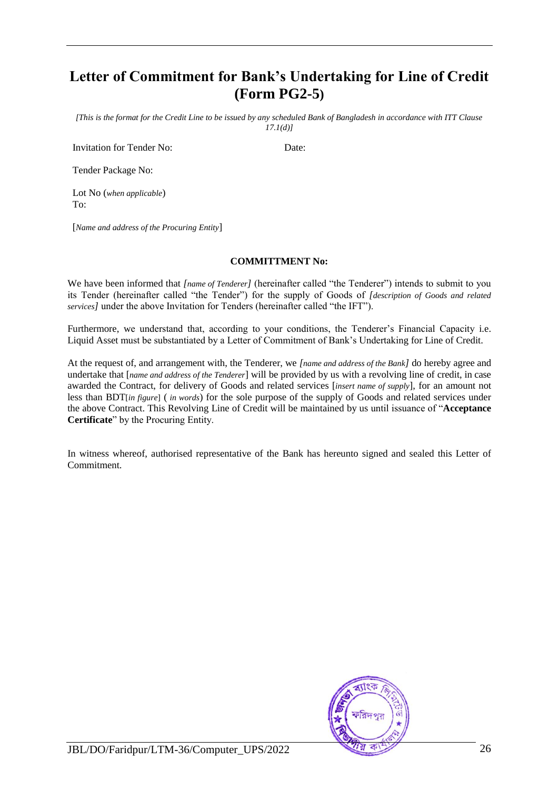## **Letter of Commitment for Bank's Undertaking for Line of Credit (Form PG2-5)**

*[This is the format for the Credit Line to be issued by any scheduled Bank of Bangladesh in accordance with ITT Clause 17.1(d)]*

Invitation for Tender No: Date:

Tender Package No:

Lot No (*when applicable*) To:

[*Name and address of the Procuring Entity*]

#### **COMMITTMENT No:**

We have been informed that *[name of Tenderer]* (hereinafter called "the Tenderer") intends to submit to you its Tender (hereinafter called "the Tender") for the supply of Goods of *[description of Goods and related services]* under the above Invitation for Tenders (hereinafter called "the IFT").

Furthermore, we understand that, according to your conditions, the Tenderer's Financial Capacity i.e. Liquid Asset must be substantiated by a Letter of Commitment of Bank's Undertaking for Line of Credit.

At the request of, and arrangement with, the Tenderer, we *[name and address of the Bank]* do hereby agree and undertake that [*name and address of the Tenderer*] will be provided by us with a revolving line of credit, in case awarded the Contract, for delivery of Goods and related services [*insert name of supply*], for an amount not less than BDT[*in figure*] ( *in words*) for the sole purpose of the supply of Goods and related services under the above Contract. This Revolving Line of Credit will be maintained by us until issuance of "**Acceptance Certificate**" by the Procuring Entity.

In witness whereof, authorised representative of the Bank has hereunto signed and sealed this Letter of Commitment.

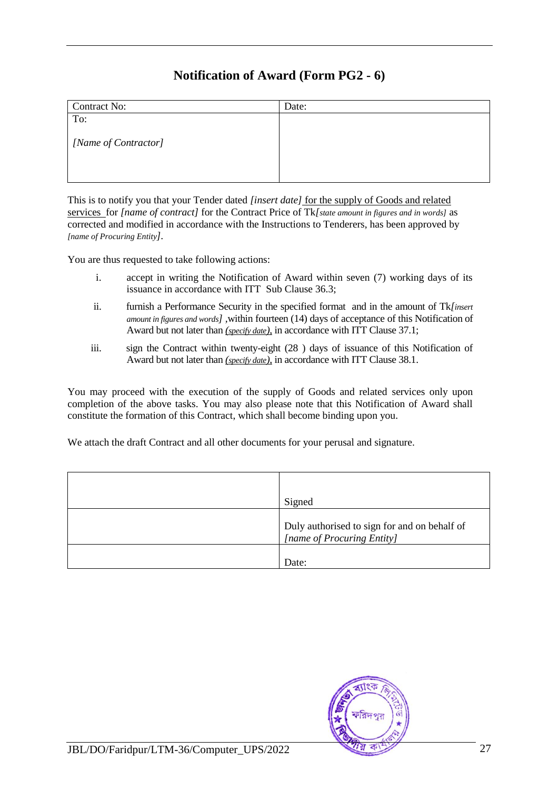### **Notification of Award (Form PG2 - 6)**

<span id="page-26-0"></span>

| Contract No:         | Date: |
|----------------------|-------|
| To:                  |       |
| [Name of Contractor] |       |
|                      |       |

This is to notify you that your Tender dated *[insert date]* for the supply of Goods and related services for *[name of contract]* for the Contract Price of Tk*[state amount in figures and in words]* as corrected and modified in accordance with the Instructions to Tenderers, has been approved by *[name of Procuring Entity].*

You are thus requested to take following actions:

- i. accept in writing the Notification of Award within seven (7) working days of its issuance in accordance with ITT Sub Clause 36.3;
- ii. furnish a Performance Security in the specified format and in the amount of Tk*[insert amount in figures and words] ,*within fourteen (14) days of acceptance of this Notification of Award but not later than *(specify date),* in accordance with ITT Clause 37.1;
- iii. sign the Contract within twenty-eight (28 ) days of issuance of this Notification of Award but not later than *(specify date),* in accordance with ITT Clause 38.1.

You may proceed with the execution of the supply of Goods and related services only upon completion of the above tasks. You may also please note that this Notification of Award shall constitute the formation of this Contract, which shall become binding upon you.

We attach the draft Contract and all other documents for your perusal and signature.

| Signed                                                                            |
|-----------------------------------------------------------------------------------|
| Duly authorised to sign for and on behalf of<br><i>[name of Procuring Entity]</i> |
| Date:                                                                             |

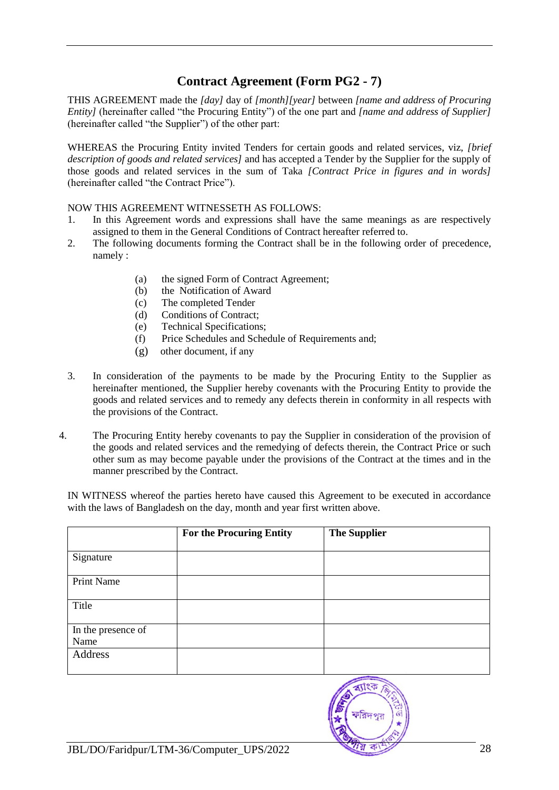#### **Contract Agreement (Form PG2 - 7)**

<span id="page-27-0"></span>THIS AGREEMENT made the *[day]* day of *[month][year]* between *[name and address of Procuring Entity]* (hereinafter called "the Procuring Entity") of the one part and *[name and address of Supplier]* (hereinafter called "the Supplier") of the other part:

WHEREAS the Procuring Entity invited Tenders for certain goods and related services, viz, *[brief description of goods and related services]* and has accepted a Tender by the Supplier for the supply of those goods and related services in the sum of Taka *[Contract Price in figures and in words]* (hereinafter called "the Contract Price").

#### NOW THIS AGREEMENT WITNESSETH AS FOLLOWS:

- 1. In this Agreement words and expressions shall have the same meanings as are respectively assigned to them in the General Conditions of Contract hereafter referred to.
- 2. The following documents forming the Contract shall be in the following order of precedence, namely :
	- (a) the signed Form of Contract Agreement;
	- (b) the Notification of Award
	- (c) The completed Tender
	- (d) Conditions of Contract;
	- (e) Technical Specifications;
	- (f) Price Schedules and Schedule of Requirements and;
	- (g) other document, if any
- 3. In consideration of the payments to be made by the Procuring Entity to the Supplier as hereinafter mentioned, the Supplier hereby covenants with the Procuring Entity to provide the goods and related services and to remedy any defects therein in conformity in all respects with the provisions of the Contract.
- 4. The Procuring Entity hereby covenants to pay the Supplier in consideration of the provision of the goods and related services and the remedying of defects therein, the Contract Price or such other sum as may become payable under the provisions of the Contract at the times and in the manner prescribed by the Contract.

IN WITNESS whereof the parties hereto have caused this Agreement to be executed in accordance with the laws of Bangladesh on the day, month and year first written above.

|                            | <b>For the Procuring Entity</b> | <b>The Supplier</b> |
|----------------------------|---------------------------------|---------------------|
| Signature                  |                                 |                     |
| <b>Print Name</b>          |                                 |                     |
| Title                      |                                 |                     |
| In the presence of<br>Name |                                 |                     |
| Address                    |                                 |                     |

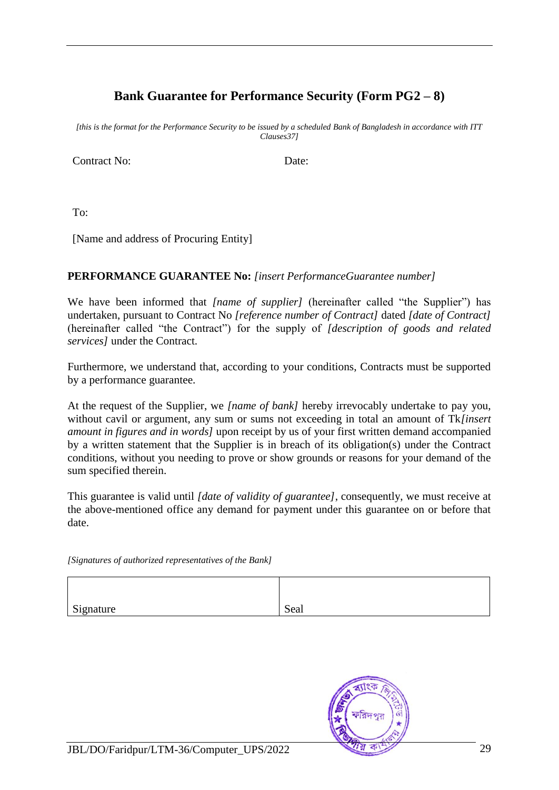## **Bank Guarantee for Performance Security (Form PG2 – 8)**

<span id="page-28-0"></span>*[this is the format for the Performance Security to be issued by a scheduled Bank of Bangladesh in accordance with ITT Clauses37]*

Contract No: Date:

To:

[Name and address of Procuring Entity]

#### **PERFORMANCE GUARANTEE No:** *[insert PerformanceGuarantee number]*

We have been informed that *[name of supplier]* (hereinafter called "the Supplier") has undertaken, pursuant to Contract No *[reference number of Contract]* dated *[date of Contract]* (hereinafter called "the Contract") for the supply of *[description of goods and related services]* under the Contract.

Furthermore, we understand that, according to your conditions, Contracts must be supported by a performance guarantee.

At the request of the Supplier, we *[name of bank]* hereby irrevocably undertake to pay you, without cavil or argument, any sum or sums not exceeding in total an amount of Tk*[insert amount in figures and in words]* upon receipt by us of your first written demand accompanied by a written statement that the Supplier is in breach of its obligation(s) under the Contract conditions, without you needing to prove or show grounds or reasons for your demand of the sum specified therein.

This guarantee is valid until *[date of validity of guarantee]*, consequently, we must receive at the above-mentioned office any demand for payment under this guarantee on or before that date.

*[Signatures of authorized representatives of the Bank]*

Signature Seal

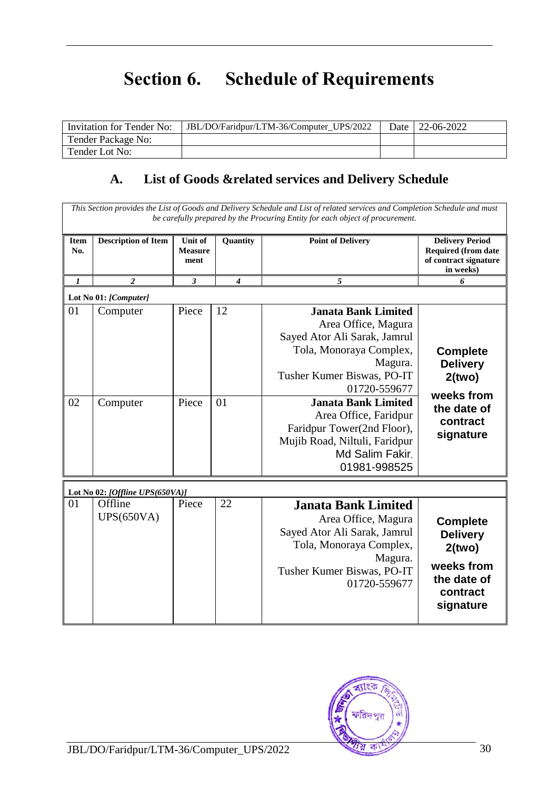# **Section 6. Schedule of Requirements**

<span id="page-29-0"></span>

| Invitation for Tender No: | JBL/DO/Faridpur/LTM-36/Computer UPS/2022 | Date 1 | 22-06-2022 |
|---------------------------|------------------------------------------|--------|------------|
| Tender Package No:        |                                          |        |            |
| Tender Lot No:            |                                          |        |            |

## **A. List of Goods &related services and Delivery Schedule**

| This Section provides the List of Goods and Delivery Schedule and List of related services and Completion Schedule and must<br>be carefully prepared by the Procuring Entity for each object of procurement. |                                 |                                   |          |                                                                                                                                                                                                                                                                                                                                |                                                                                                    |  |  |
|--------------------------------------------------------------------------------------------------------------------------------------------------------------------------------------------------------------|---------------------------------|-----------------------------------|----------|--------------------------------------------------------------------------------------------------------------------------------------------------------------------------------------------------------------------------------------------------------------------------------------------------------------------------------|----------------------------------------------------------------------------------------------------|--|--|
| <b>Item</b><br>No.                                                                                                                                                                                           | <b>Description of Item</b>      | Unit of<br><b>Measure</b><br>ment | Quantity | <b>Point of Delivery</b>                                                                                                                                                                                                                                                                                                       | <b>Delivery Period</b><br><b>Required (from date</b><br>of contract signature<br>in weeks)         |  |  |
| 1                                                                                                                                                                                                            | $\boldsymbol{2}$                | 3                                 | 4        | 5                                                                                                                                                                                                                                                                                                                              | 6                                                                                                  |  |  |
| Lot No 01: [Computer]                                                                                                                                                                                        |                                 |                                   |          |                                                                                                                                                                                                                                                                                                                                |                                                                                                    |  |  |
| 01<br>02                                                                                                                                                                                                     | Computer<br>Computer            | Piece<br>Piece                    | 12<br>01 | <b>Janata Bank Limited</b><br>Area Office, Magura<br>Sayed Ator Ali Sarak, Jamrul<br>Tola, Monoraya Complex,<br>Magura.<br>Tusher Kumer Biswas, PO-IT<br>01720-559677<br><b>Janata Bank Limited</b><br>Area Office, Faridpur<br>Faridpur Tower(2nd Floor),<br>Mujib Road, Niltuli, Faridpur<br>Md Salim Fakir.<br>01981-998525 | <b>Complete</b><br><b>Delivery</b><br>2(two)<br>weeks from<br>the date of<br>contract<br>signature |  |  |
|                                                                                                                                                                                                              | Lot No 02: [Offline UPS(650VA)] |                                   |          |                                                                                                                                                                                                                                                                                                                                |                                                                                                    |  |  |
| 01                                                                                                                                                                                                           | Offline<br>UPS(650VA)           | Piece                             | 22       | <b>Janata Bank Limited</b><br>Area Office, Magura<br>Sayed Ator Ali Sarak, Jamrul<br>Tola, Monoraya Complex,<br>Magura.<br>Tusher Kumer Biswas, PO-IT<br>01720-559677                                                                                                                                                          | <b>Complete</b><br><b>Delivery</b><br>2(two)<br>weeks from<br>the date of<br>contract<br>signature |  |  |

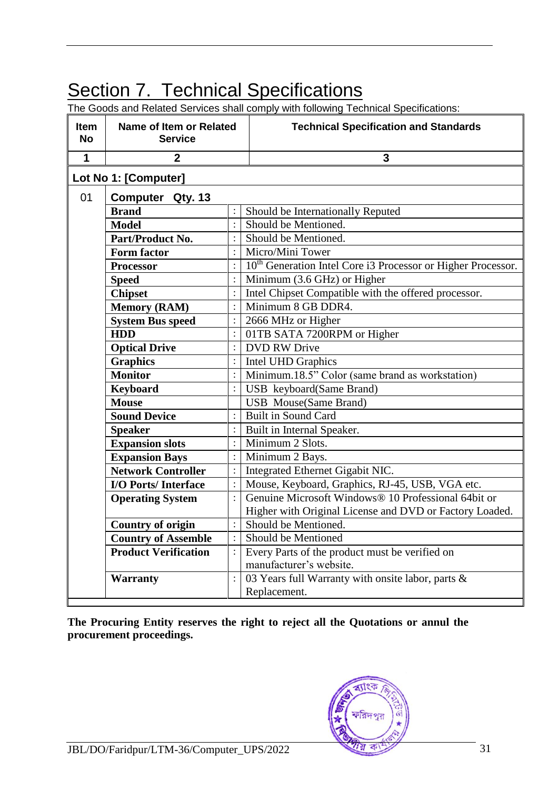# Section 7. Technical Specifications

The Goods and Related Services shall comply with following Technical Specifications:

| <b>Item</b><br><b>No</b> | Name of Item or Related<br><b>Service</b> |                    | <b>Technical Specification and Standards</b>                             |  |
|--------------------------|-------------------------------------------|--------------------|--------------------------------------------------------------------------|--|
| 1                        | $\overline{2}$                            |                    | 3                                                                        |  |
|                          | Lot No 1: [Computer]                      |                    |                                                                          |  |
| 01                       | Computer Qty. 13                          |                    |                                                                          |  |
|                          | <b>Brand</b>                              |                    | Should be Internationally Reputed                                        |  |
|                          | <b>Model</b>                              | $\ddot{\cdot}$     | Should be Mentioned.                                                     |  |
|                          | Part/Product No.                          |                    | Should be Mentioned.                                                     |  |
|                          | <b>Form factor</b>                        |                    | Micro/Mini Tower                                                         |  |
|                          | <b>Processor</b>                          |                    | 10 <sup>th</sup> Generation Intel Core i3 Processor or Higher Processor. |  |
|                          | $\vdots$<br><b>Speed</b>                  |                    | Minimum (3.6 GHz) or Higher                                              |  |
|                          | <b>Chipset</b>                            |                    | Intel Chipset Compatible with the offered processor.                     |  |
|                          | <b>Memory (RAM)</b><br>$\ddot{\cdot}$     |                    | Minimum 8 GB DDR4.                                                       |  |
|                          | <b>System Bus speed</b>                   |                    | 2666 MHz or Higher                                                       |  |
|                          | <b>HDD</b>                                |                    | 01TB SATA 7200RPM or Higher                                              |  |
|                          | <b>Optical Drive</b>                      | $\overline{\cdot}$ | <b>DVD RW Drive</b>                                                      |  |
|                          | <b>Graphics</b>                           |                    | Intel UHD Graphics                                                       |  |
|                          | <b>Monitor</b>                            |                    | Minimum.18.5" Color (same brand as workstation)                          |  |
|                          | <b>Keyboard</b>                           |                    | USB keyboard(Same Brand)                                                 |  |
|                          | <b>Mouse</b>                              |                    | <b>USB</b> Mouse(Same Brand)                                             |  |
|                          | <b>Sound Device</b><br>$\colon$           |                    | <b>Built in Sound Card</b>                                               |  |
|                          | <b>Speaker</b>                            |                    | Built in Internal Speaker.                                               |  |
|                          | $\ddot{\cdot}$<br><b>Expansion slots</b>  |                    | Minimum 2 Slots.                                                         |  |
|                          | <b>Expansion Bays</b>                     |                    | $\overline{\cdot}$ Minimum 2 Bays.                                       |  |
|                          | <b>Network Controller</b>                 |                    | Integrated Ethernet Gigabit NIC.                                         |  |
|                          | $\vdots$<br><b>I/O Ports/Interface</b>    |                    | Mouse, Keyboard, Graphics, RJ-45, USB, VGA etc.                          |  |
|                          | <b>Operating System</b>                   |                    | Genuine Microsoft Windows® 10 Professional 64bit or                      |  |
|                          |                                           |                    | Higher with Original License and DVD or Factory Loaded.                  |  |
|                          | <b>Country of origin</b>                  |                    | Should be Mentioned.                                                     |  |
|                          | <b>Country of Assemble</b>                |                    | Should be Mentioned                                                      |  |
|                          | <b>Product Verification</b>               |                    | Every Parts of the product must be verified on                           |  |
|                          |                                           |                    | manufacturer's website.                                                  |  |
|                          | $\vdots$<br><b>Warranty</b>               |                    | 03 Years full Warranty with onsite labor, parts &                        |  |
|                          |                                           |                    | Replacement.                                                             |  |

**The Procuring Entity reserves the right to reject all the Quotations or annul the procurement proceedings.**